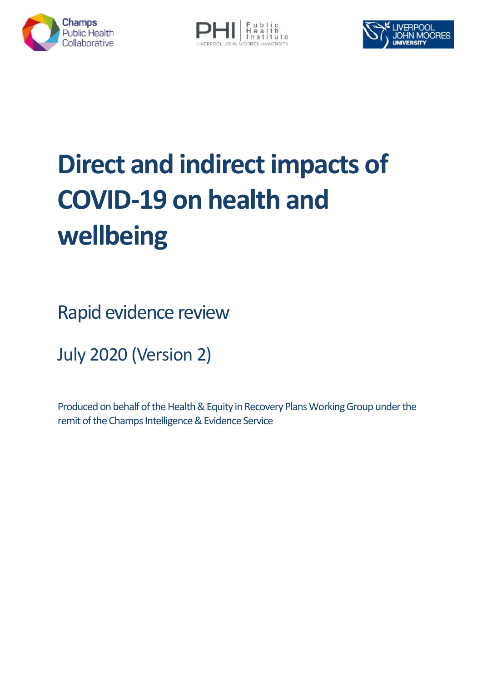





# **Direct and indirect impacts of COVID-19 on health and wellbeing**

Rapid evidence review

July 2020 (Version 2)

Produced on behalf of the Health & Equity in Recovery Plans Working Group under the remit of the Champs Intelligence & Evidence Service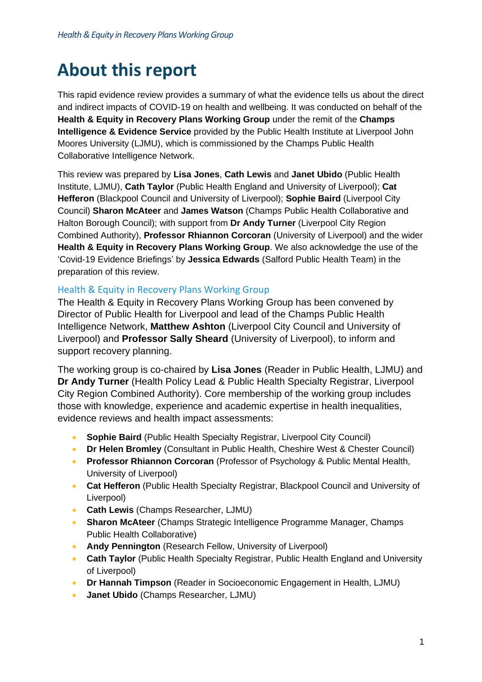# **About this report**

This rapid evidence review provides a summary of what the evidence tells us about the direct and indirect impacts of COVID-19 on health and wellbeing. It was conducted on behalf of the **Health & Equity in Recovery Plans Working Group** under the remit of the **Champs Intelligence & Evidence Service** provided by the Public Health Institute at Liverpool John Moores University (LJMU), which is commissioned by the Champs Public Health Collaborative Intelligence Network.

This review was prepared by **Lisa Jones**, **Cath Lewis** and **Janet Ubido** (Public Health Institute, LJMU), **Cath Taylor** (Public Health England and University of Liverpool); **Cat Hefferon** (Blackpool Council and University of Liverpool); **Sophie Baird** (Liverpool City Council) **Sharon McAteer** and **James Watson** (Champs Public Health Collaborative and Halton Borough Council); with support from **Dr Andy Turner** (Liverpool City Region Combined Authority), **Professor Rhiannon Corcoran** (University of Liverpool) and the wider **Health & Equity in Recovery Plans Working Group**. We also acknowledge the use of the 'Covid-19 Evidence Briefings' by **Jessica Edwards** (Salford Public Health Team) in the preparation of this review.

#### Health & Equity in Recovery Plans Working Group

The Health & Equity in Recovery Plans Working Group has been convened by Director of Public Health for Liverpool and lead of the Champs Public Health Intelligence Network, **Matthew Ashton** (Liverpool City Council and University of Liverpool) and **Professor Sally Sheard** (University of Liverpool), to inform and support recovery planning.

The working group is co-chaired by **Lisa Jones** (Reader in Public Health, LJMU) and **Dr Andy Turner** (Health Policy Lead & Public Health Specialty Registrar, Liverpool City Region Combined Authority). Core membership of the working group includes those with knowledge, experience and academic expertise in health inequalities, evidence reviews and health impact assessments:

- **Sophie Baird** (Public Health Specialty Registrar, Liverpool City Council)
- **Dr Helen Bromley** (Consultant in Public Health, Cheshire West & Chester Council)
- **Professor Rhiannon Corcoran** (Professor of Psychology & Public Mental Health, University of Liverpool)
- **Cat Hefferon** (Public Health Specialty Registrar, Blackpool Council and University of Liverpool)
- **Cath Lewis** (Champs Researcher, LJMU)
- **Sharon McAteer** (Champs Strategic Intelligence Programme Manager, Champs Public Health Collaborative)
- **Andy Pennington** (Research Fellow, University of Liverpool)
- **Cath Taylor** (Public Health Specialty Registrar, Public Health England and University of Liverpool)
- **Dr Hannah Timpson** (Reader in Socioeconomic Engagement in Health, LJMU)
- **Janet Ubido** (Champs Researcher, LJMU)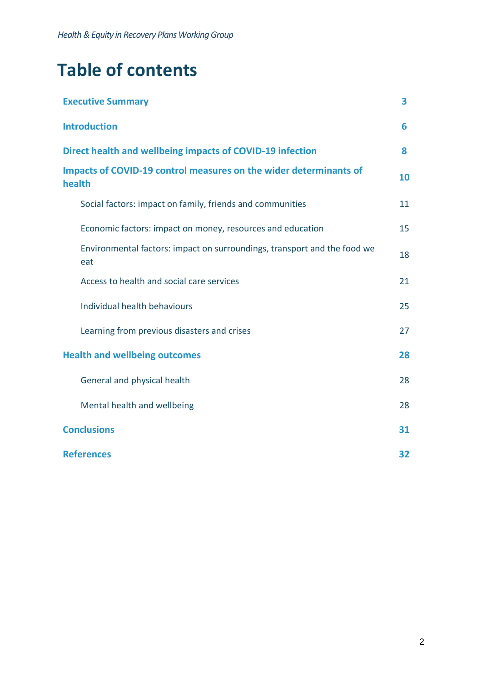*Health & Equity in Recovery Plans Working Group*

# **Table of contents**

| <b>Executive Summary</b>                                                        | 3  |
|---------------------------------------------------------------------------------|----|
| <b>Introduction</b>                                                             | 6  |
| Direct health and wellbeing impacts of COVID-19 infection                       | 8  |
| Impacts of COVID-19 control measures on the wider determinants of<br>health     | 10 |
| Social factors: impact on family, friends and communities                       | 11 |
| Economic factors: impact on money, resources and education                      | 15 |
| Environmental factors: impact on surroundings, transport and the food we<br>eat | 18 |
| Access to health and social care services                                       | 21 |
| Individual health behaviours                                                    | 25 |
| Learning from previous disasters and crises                                     | 27 |
| <b>Health and wellbeing outcomes</b>                                            | 28 |
| General and physical health                                                     | 28 |
| Mental health and wellbeing                                                     | 28 |
| <b>Conclusions</b>                                                              | 31 |
| <b>References</b>                                                               | 32 |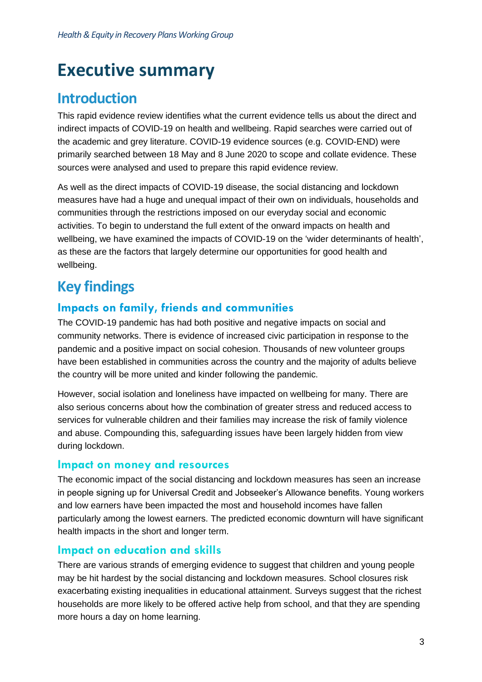# <span id="page-3-0"></span>**Executive summary**

# **Introduction**

This rapid evidence review identifies what the current evidence tells us about the direct and indirect impacts of COVID-19 on health and wellbeing. Rapid searches were carried out of the academic and grey literature. COVID-19 evidence sources (e.g. COVID-END) were primarily searched between 18 May and 8 June 2020 to scope and collate evidence. These sources were analysed and used to prepare this rapid evidence review.

As well as the direct impacts of COVID-19 disease, the social distancing and lockdown measures have had a huge and unequal impact of their own on individuals, households and communities through the restrictions imposed on our everyday social and economic activities. To begin to understand the full extent of the onward impacts on health and wellbeing, we have examined the impacts of COVID-19 on the 'wider determinants of health', as these are the factors that largely determine our opportunities for good health and wellbeing.

# **Key findings**

#### **Impacts on family, friends and communities**

The COVID-19 pandemic has had both positive and negative impacts on social and community networks. There is evidence of increased civic participation in response to the pandemic and a positive impact on social cohesion. Thousands of new volunteer groups have been established in communities across the country and the majority of adults believe the country will be more united and kinder following the pandemic.

However, social isolation and loneliness have impacted on wellbeing for many. There are also serious concerns about how the combination of greater stress and reduced access to services for vulnerable children and their families may increase the risk of family violence and abuse. Compounding this, safeguarding issues have been largely hidden from view during lockdown.

#### **Impact on money and resources**

The economic impact of the social distancing and lockdown measures has seen an increase in people signing up for Universal Credit and Jobseeker's Allowance benefits. Young workers and low earners have been impacted the most and household incomes have fallen particularly among the lowest earners. The predicted economic downturn will have significant health impacts in the short and longer term.

#### **Impact on education and skills**

There are various strands of emerging evidence to suggest that children and young people may be hit hardest by the social distancing and lockdown measures. School closures risk exacerbating existing inequalities in educational attainment. Surveys suggest that the richest households are more likely to be offered active help from school, and that they are spending more hours a day on home learning.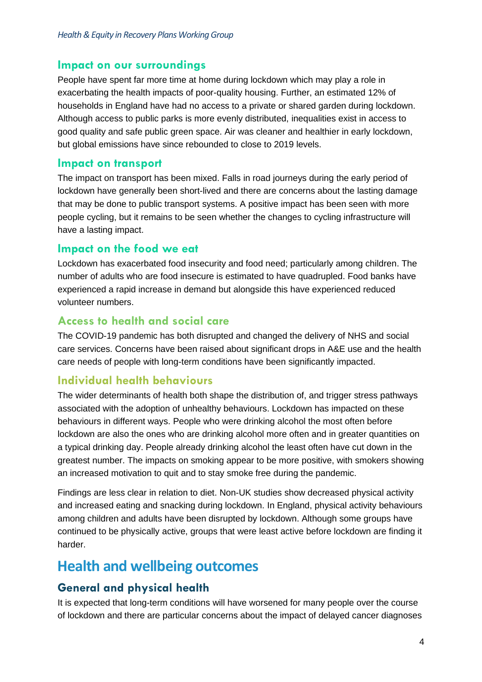#### **Impact on our surroundings**

People have spent far more time at home during lockdown which may play a role in exacerbating the health impacts of poor-quality housing. Further, an estimated 12% of households in England have had no access to a private or shared garden during lockdown. Although access to public parks is more evenly distributed, inequalities exist in access to good quality and safe public green space. Air was cleaner and healthier in early lockdown, but global emissions have since rebounded to close to 2019 levels.

#### **Impact on transport**

The impact on transport has been mixed. Falls in road journeys during the early period of lockdown have generally been short-lived and there are concerns about the lasting damage that may be done to public transport systems. A positive impact has been seen with more people cycling, but it remains to be seen whether the changes to cycling infrastructure will have a lasting impact.

#### **Impact on the food we eat**

Lockdown has exacerbated food insecurity and food need; particularly among children. The number of adults who are food insecure is estimated to have quadrupled. Food banks have experienced a rapid increase in demand but alongside this have experienced reduced volunteer numbers.

#### **Access to health and social care**

The COVID-19 pandemic has both disrupted and changed the delivery of NHS and social care services. Concerns have been raised about significant drops in A&E use and the health care needs of people with long-term conditions have been significantly impacted.

#### **Individual health behaviours**

The wider determinants of health both shape the distribution of, and trigger stress pathways associated with the adoption of unhealthy behaviours. Lockdown has impacted on these behaviours in different ways. People who were drinking alcohol the most often before lockdown are also the ones who are drinking alcohol more often and in greater quantities on a typical drinking day. People already drinking alcohol the least often have cut down in the greatest number. The impacts on smoking appear to be more positive, with smokers showing an increased motivation to quit and to stay smoke free during the pandemic.

Findings are less clear in relation to diet. Non-UK studies show decreased physical activity and increased eating and snacking during lockdown. In England, physical activity behaviours among children and adults have been disrupted by lockdown. Although some groups have continued to be physically active, groups that were least active before lockdown are finding it harder.

### **Health and wellbeing outcomes**

#### **General and physical health**

It is expected that long-term conditions will have worsened for many people over the course of lockdown and there are particular concerns about the impact of delayed cancer diagnoses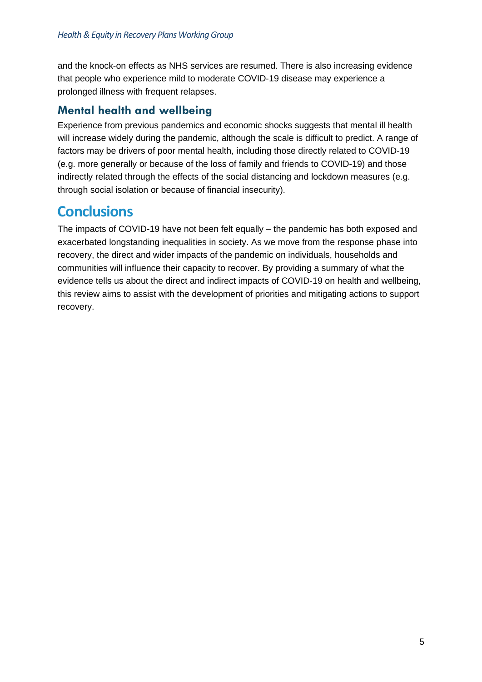and the knock-on effects as NHS services are resumed. There is also increasing evidence that people who experience mild to moderate COVID-19 disease may experience a prolonged illness with frequent relapses.

#### **Mental health and wellbeing**

Experience from previous pandemics and economic shocks suggests that mental ill health will increase widely during the pandemic, although the scale is difficult to predict. A range of factors may be drivers of poor mental health, including those directly related to COVID-19 (e.g. more generally or because of the loss of family and friends to COVID-19) and those indirectly related through the effects of the social distancing and lockdown measures (e.g. through social isolation or because of financial insecurity).

### **Conclusions**

The impacts of COVID-19 have not been felt equally – the pandemic has both exposed and exacerbated longstanding inequalities in society. As we move from the response phase into recovery, the direct and wider impacts of the pandemic on individuals, households and communities will influence their capacity to recover. By providing a summary of what the evidence tells us about the direct and indirect impacts of COVID-19 on health and wellbeing, this review aims to assist with the development of priorities and mitigating actions to support recovery.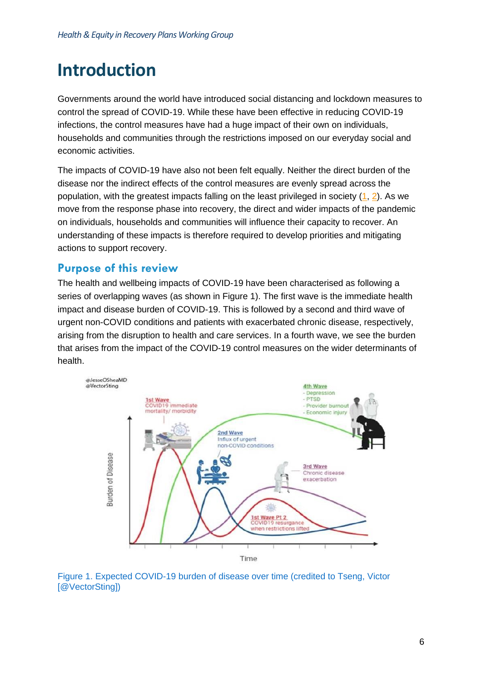# <span id="page-6-0"></span>**Introduction**

Governments around the world have introduced social distancing and lockdown measures to control the spread of COVID-19. While these have been effective in reducing COVID-19 infections, the control measures have had a huge impact of their own on individuals, households and communities through the restrictions imposed on our everyday social and economic activities.

The impacts of COVID-19 have also not been felt equally. Neither the direct burden of the disease nor the indirect effects of the control measures are evenly spread across the population, with the greatest impacts falling on the least privileged in society [\(1,](#page-32-1) [2\)](#page-32-2). As we move from the response phase into recovery, the direct and wider impacts of the pandemic on individuals, households and communities will influence their capacity to recover. An understanding of these impacts is therefore required to develop priorities and mitigating actions to support recovery.

#### **Purpose of this review**

The health and wellbeing impacts of COVID-19 have been characterised as following a series of overlapping waves (as shown in Figure 1). The first wave is the immediate health impact and disease burden of COVID-19. This is followed by a second and third wave of urgent non-COVID conditions and patients with exacerbated chronic disease, respectively, arising from the disruption to health and care services. In a fourth wave, we see the burden that arises from the impact of the COVID-19 control measures on the wider determinants of health.



Figure 1. Expected COVID-19 burden of disease over time (credited to Tseng, Victor [@VectorSting])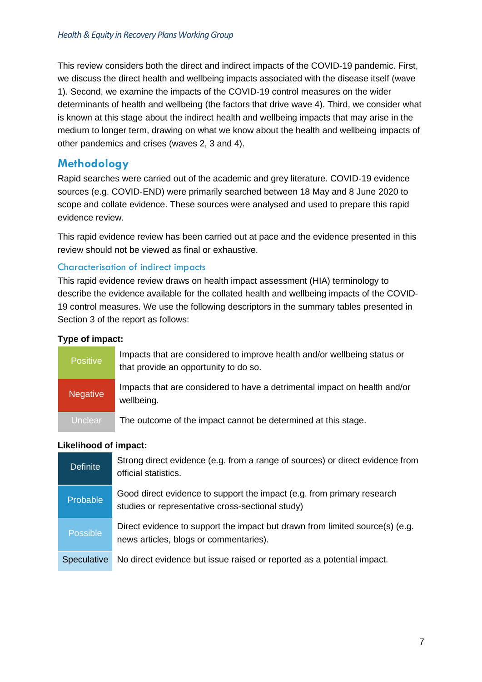This review considers both the direct and indirect impacts of the COVID-19 pandemic. First, we discuss the direct health and wellbeing impacts associated with the disease itself (wave 1). Second, we examine the impacts of the COVID-19 control measures on the wider determinants of health and wellbeing (the factors that drive wave 4). Third, we consider what is known at this stage about the indirect health and wellbeing impacts that may arise in the medium to longer term, drawing on what we know about the health and wellbeing impacts of other pandemics and crises (waves 2, 3 and 4).

#### **Methodology**

Rapid searches were carried out of the academic and grey literature. COVID-19 evidence sources (e.g. COVID-END) were primarily searched between 18 May and 8 June 2020 to scope and collate evidence. These sources were analysed and used to prepare this rapid evidence review.

This rapid evidence review has been carried out at pace and the evidence presented in this review should not be viewed as final or exhaustive.

#### Characterisation of indirect impacts

This rapid evidence review draws on health impact assessment (HIA) terminology to describe the evidence available for the collated health and wellbeing impacts of the COVID-19 control measures. We use the following descriptors in the summary tables presented in Section 3 of the report as follows:

#### **Type of impact:**

| <b>Positive</b> | Impacts that are considered to improve health and/or wellbeing status or<br>that provide an opportunity to do so. |
|-----------------|-------------------------------------------------------------------------------------------------------------------|
| <b>Negative</b> | Impacts that are considered to have a detrimental impact on health and/or<br>wellbeing.                           |
| Unclear         | The outcome of the impact cannot be determined at this stage.                                                     |

#### **Likelihood of impact:**

| <b>Definite</b>    | Strong direct evidence (e.g. from a range of sources) or direct evidence from<br>official statistics.                      |
|--------------------|----------------------------------------------------------------------------------------------------------------------------|
| <b>Probable</b>    | Good direct evidence to support the impact (e.g. from primary research<br>studies or representative cross-sectional study) |
| <b>Possible</b>    | Direct evidence to support the impact but drawn from limited source(s) (e.g.<br>news articles, blogs or commentaries).     |
| <b>Speculative</b> | No direct evidence but issue raised or reported as a potential impact.                                                     |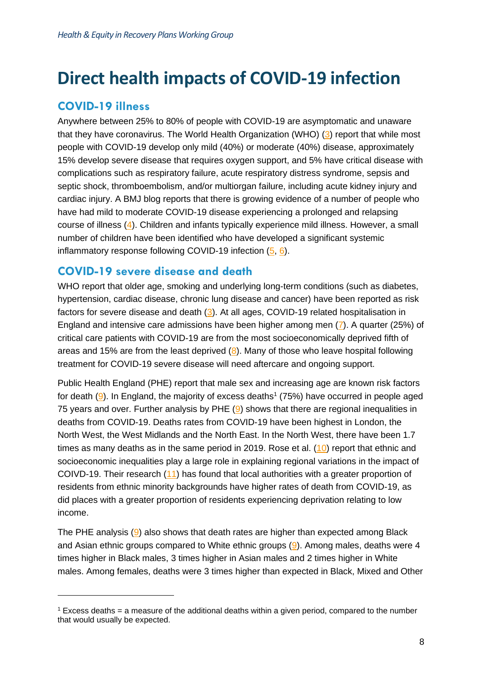# <span id="page-8-0"></span>**Direct health impacts of COVID-19 infection**

#### **COVID-19 illness**

Anywhere between 25% to 80% of people with COVID-19 are asymptomatic and unaware that they have coronavirus. The World Health Organization (WHO) [\(3\)](#page-32-3) report that while most people with COVID-19 develop only mild (40%) or moderate (40%) disease, approximately 15% develop severe disease that requires oxygen support, and 5% have critical disease with complications such as respiratory failure, acute respiratory distress syndrome, sepsis and septic shock, thromboembolism, and/or multiorgan failure, including acute kidney injury and cardiac injury. A BMJ blog reports that there is growing evidence of a number of people who have had mild to moderate COVID-19 disease experiencing a prolonged and relapsing course of illness [\(4\)](#page-32-4). Children and infants typically experience mild illness. However, a small number of children have been identified who have developed a significant systemic inflammatory response following COVID-19 infection [\(5,](#page-32-5) [6\)](#page-32-6).

#### **COVID-19 severe disease and death**

WHO report that older age, smoking and underlying long-term conditions (such as diabetes, hypertension, cardiac disease, chronic lung disease and cancer) have been reported as risk factors for severe disease and death [\(3\)](#page-32-3). At all ages, COVID-19 related hospitalisation in England and intensive care admissions have been higher among men [\(7\)](#page-32-7). A quarter (25%) of critical care patients with COVID-19 are from the most socioeconomically deprived fifth of areas and 15% are from the least deprived  $(8)$ . Many of those who leave hospital following treatment for COVID-19 severe disease will need aftercare and ongoing support.

Public Health England (PHE) report that male sex and increasing age are known risk factors for death  $(9)$ . In England, the majority of excess deaths<sup>1</sup> (75%) have occurred in people aged 75 years and over. Further analysis by PHE  $(9)$  shows that there are regional inequalities in deaths from COVID-19. Deaths rates from COVID-19 have been highest in London, the North West, the West Midlands and the North East. In the North West, there have been 1.7 times as many deaths as in the same period in 2019. Rose et al.  $(10)$  report that ethnic and socioeconomic inequalities play a large role in explaining regional variations in the impact of COIVD-19. Their research [\(11\)](#page-32-11) has found that local authorities with a greater proportion of residents from ethnic minority backgrounds have higher rates of death from COVID-19, as did places with a greater proportion of residents experiencing deprivation relating to low income.

The PHE analysis  $(9)$  also shows that death rates are higher than expected among Black and Asian ethnic groups compared to White ethnic groups  $(9)$ . Among males, deaths were 4 times higher in Black males, 3 times higher in Asian males and 2 times higher in White males. Among females, deaths were 3 times higher than expected in Black, Mixed and Other

 $1$  Excess deaths = a measure of the additional deaths within a given period, compared to the number that would usually be expected.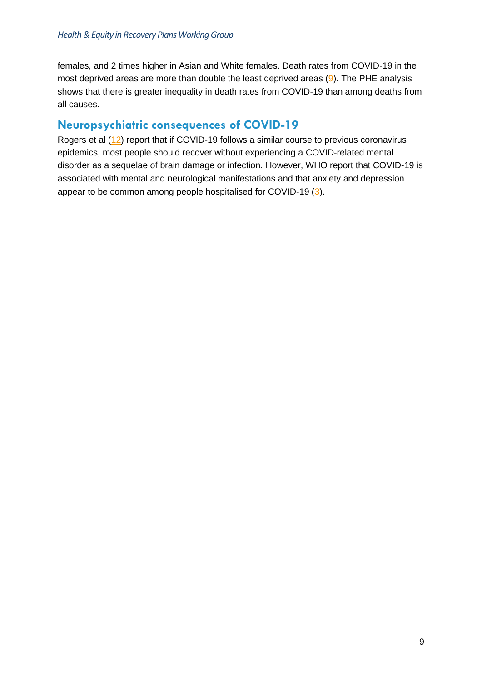females, and 2 times higher in Asian and White females. Death rates from COVID-19 in the most deprived areas are more than double the least deprived areas [\(9\)](#page-32-9). The PHE analysis shows that there is greater inequality in death rates from COVID-19 than among deaths from all causes.

#### **Neuropsychiatric consequences of COVID-19**

Rogers et al [\(12\)](#page-32-12) report that if COVID-19 follows a similar course to previous coronavirus epidemics, most people should recover without experiencing a COVID-related mental disorder as a sequelae of brain damage or infection. However, WHO report that COVID-19 is associated with mental and neurological manifestations and that anxiety and depression appear to be common among people hospitalised for COVID-19 [\(3\)](#page-32-3).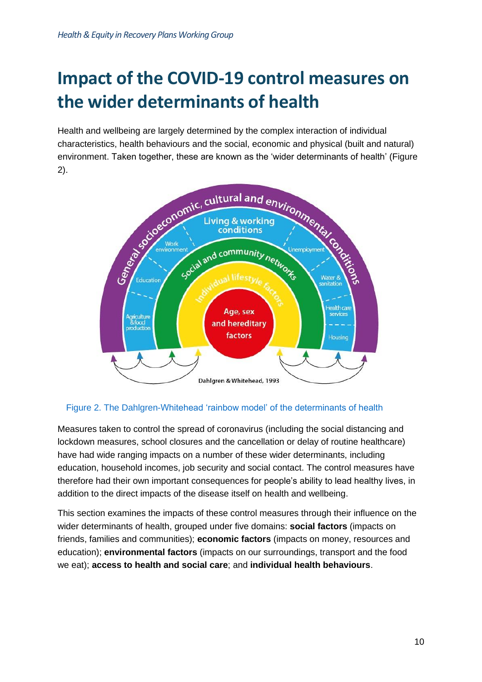# <span id="page-10-0"></span>**Impact of the COVID-19 control measures on the wider determinants of health**

Health and wellbeing are largely determined by the complex interaction of individual characteristics, health behaviours and the social, economic and physical (built and natural) environment. Taken together, these are known as the 'wider determinants of health' (Figure 2).



#### Figure 2. The Dahlgren-Whitehead 'rainbow model' of the determinants of health

Measures taken to control the spread of coronavirus (including the social distancing and lockdown measures, school closures and the cancellation or delay of routine healthcare) have had wide ranging impacts on a number of these wider determinants, including education, household incomes, job security and social contact. The control measures have therefore had their own important consequences for people's ability to lead healthy lives, in addition to the direct impacts of the disease itself on health and wellbeing.

This section examines the impacts of these control measures through their influence on the wider determinants of health, grouped under five domains: **social factors** (impacts on friends, families and communities); **economic factors** (impacts on money, resources and education); **environmental factors** (impacts on our surroundings, transport and the food we eat); **access to health and social care**; and **individual health behaviours**.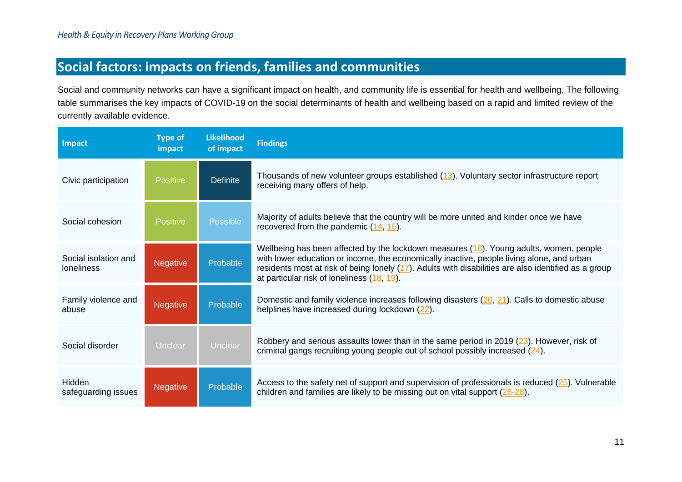### **Social factors: impacts on friends, families and communities**

Social and community networks can have a significant impact on health, and community life is essential for health and wellbeing. The following table summarises the key impacts of COVID-19 on the social determinants of health and wellbeing based on a rapid and limited review of the currently available evidence.

<span id="page-11-0"></span>

| <b>Impact</b>                             | <b>Type of</b><br>impact | <b>Likelihood</b><br>of impact | <b>Findings</b>                                                                                                                                                                                                                                                                                                                                 |
|-------------------------------------------|--------------------------|--------------------------------|-------------------------------------------------------------------------------------------------------------------------------------------------------------------------------------------------------------------------------------------------------------------------------------------------------------------------------------------------|
| Civic participation                       | Positive                 | <b>Definite</b>                | Thousands of new volunteer groups established (13). Voluntary sector infrastructure report<br>receiving many offers of help.                                                                                                                                                                                                                    |
| Social cohesion                           | <b>Positive</b>          | Possible                       | Majority of adults believe that the country will be more united and kinder once we have<br>recovered from the pandemic $(14, 15)$ .                                                                                                                                                                                                             |
| Social isolation and<br><b>loneliness</b> | <b>Negative</b>          | Probable                       | Wellbeing has been affected by the lockdown measures $(16)$ . Young adults, women, people<br>with lower education or income, the economically inactive, people living alone, and urban<br>residents most at risk of being lonely $(17)$ . Adults with disabilities are also identified as a group<br>at particular risk of loneliness (18, 19). |
| Family violence and<br>abuse              | <b>Negative</b>          | Probable                       | Domestic and family violence increases following disasters (20, 21). Calls to domestic abuse<br>helplines have increased during lockdown (22).                                                                                                                                                                                                  |
| Social disorder                           | Unclear                  | Unclear                        | Robbery and serious assaults lower than in the same period in 2019 (23). However, risk of<br>criminal gangs recruiting young people out of school possibly increased $(24)$ .                                                                                                                                                                   |
| Hidden<br>safeguarding issues             | <b>Negative</b>          | Probable                       | Access to the safety net of support and supervision of professionals is reduced $(25)$ . Vulnerable<br>children and families are likely to be missing out on vital support $(26-28)$ .                                                                                                                                                          |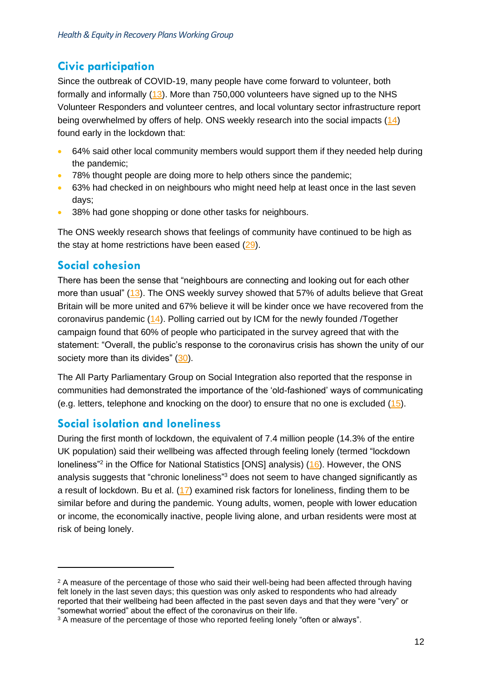#### **Civic participation**

Since the outbreak of COVID-19, many people have come forward to volunteer, both formally and informally [\(13\)](#page-32-20). More than 750,000 volunteers have signed up to the NHS Volunteer Responders and volunteer centres, and local voluntary sector infrastructure report being overwhelmed by offers of help. ONS weekly research into the social impacts [\(14\)](#page-32-21) found early in the lockdown that:

- 64% said other local community members would support them if they needed help during the pandemic;
- 78% thought people are doing more to help others since the pandemic;
- 63% had checked in on neighbours who might need help at least once in the last seven days;
- 38% had gone shopping or done other tasks for neighbours.

The ONS weekly research shows that feelings of community have continued to be high as the stay at home restrictions have been eased [\(29\)](#page-33-4).

#### **Social cohesion**

There has been the sense that "neighbours are connecting and looking out for each other more than usual" [\(13\)](#page-32-20). The ONS weekly survey showed that 57% of adults believe that Great Britain will be more united and 67% believe it will be kinder once we have recovered from the coronavirus pandemic [\(14\)](#page-32-21). Polling carried out by ICM for the newly founded /Together campaign found that 60% of people who participated in the survey agreed that with the statement: "Overall, the public's response to the coronavirus crisis has shown the unity of our society more than its divides"  $(30)$ .

The All Party Parliamentary Group on Social Integration also reported that the response in communities had demonstrated the importance of the 'old-fashioned' ways of communicating (e.g. letters, telephone and knocking on the door) to ensure that no one is excluded [\(15\)](#page-32-22).

#### **Social isolation and loneliness**

During the first month of lockdown, the equivalent of 7.4 million people (14.3% of the entire UK population) said their wellbeing was affected through feeling lonely (termed "lockdown loneliness<sup>"2</sup> in the Office for National Statistics [ONS] analysis) [\(16\)](#page-32-23). However, the ONS analysis suggests that "chronic loneliness"<sup>3</sup> does not seem to have changed significantly as a result of lockdown. Bu et al. [\(17\)](#page-32-24) examined risk factors for loneliness, finding them to be similar before and during the pandemic. Young adults, women, people with lower education or income, the economically inactive, people living alone, and urban residents were most at risk of being lonely.

<sup>&</sup>lt;sup>2</sup> A measure of the percentage of those who said their well-being had been affected through having felt lonely in the last seven days; this question was only asked to respondents who had already reported that their wellbeing had been affected in the past seven days and that they were "very" or "somewhat worried" about the effect of the coronavirus on their life.

<sup>&</sup>lt;sup>3</sup> A measure of the percentage of those who reported feeling lonely "often or always".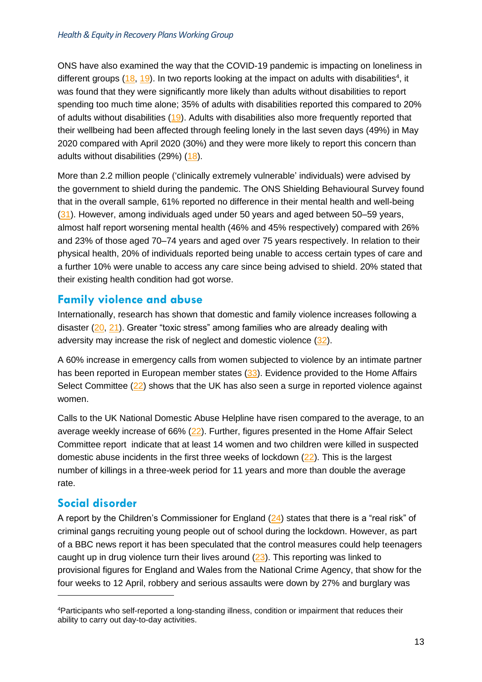ONS have also examined the way that the COVID-19 pandemic is impacting on loneliness in different groups  $(18, 19)$  $(18, 19)$ . In two reports looking at the impact on adults with disabilities<sup>4</sup>, it was found that they were significantly more likely than adults without disabilities to report spending too much time alone; 35% of adults with disabilities reported this compared to 20% of adults without disabilities [\(19\)](#page-32-26). Adults with disabilities also more frequently reported that their wellbeing had been affected through feeling lonely in the last seven days (49%) in May 2020 compared with April 2020 (30%) and they were more likely to report this concern than adults without disabilities (29%) [\(18\)](#page-32-25).

More than 2.2 million people ('clinically extremely vulnerable' individuals) were advised by the government to shield during the pandemic. The ONS Shielding Behavioural Survey found that in the overall sample, 61% reported no difference in their mental health and well-being [\(31\)](#page-33-6). However, among individuals aged under 50 years and aged between 50–59 years, almost half report worsening mental health (46% and 45% respectively) compared with 26% and 23% of those aged 70–74 years and aged over 75 years respectively. In relation to their physical health, 20% of individuals reported being unable to access certain types of care and a further 10% were unable to access any care since being advised to shield. 20% stated that their existing health condition had got worse.

#### **Family violence and abuse**

Internationally, research has shown that domestic and family violence increases following a disaster [\(20,](#page-32-27) [21\)](#page-32-28). Greater "toxic stress" among families who are already dealing with adversity may increase the risk of neglect and domestic violence [\(32\)](#page-33-7).

A 60% increase in emergency calls from women subjected to violence by an intimate partner has been reported in European member states [\(33\)](#page-33-8). Evidence provided to the Home Affairs Select Committee [\(22\)](#page-33-9) shows that the UK has also seen a surge in reported violence against women.

Calls to the UK National Domestic Abuse Helpline have risen compared to the average, to an average weekly increase of 66% [\(22\)](#page-33-9). Further, figures presented in the Home Affair Select Committee report indicate that at least 14 women and two children were killed in suspected domestic abuse incidents in the first three weeks of lockdown [\(22\)](#page-33-9). This is the largest number of killings in a three-week period for 11 years and more than double the average rate.

#### **Social disorder**

A report by the Children's Commissioner for England (24) states that there is a "real risk" of criminal gangs recruiting young people out of school during the lockdown. However, as part of a BBC news report it has been speculated that the control measures could help teenagers caught up in drug violence turn their lives around  $(23)$ . This reporting was linked to provisional figures for England and Wales from the National Crime Agency, that show for the four weeks to 12 April, robbery and serious assaults were down by 27% and burglary was

<sup>4</sup>Participants who self-reported a long-standing illness, condition or impairment that reduces their ability to carry out day-to-day activities.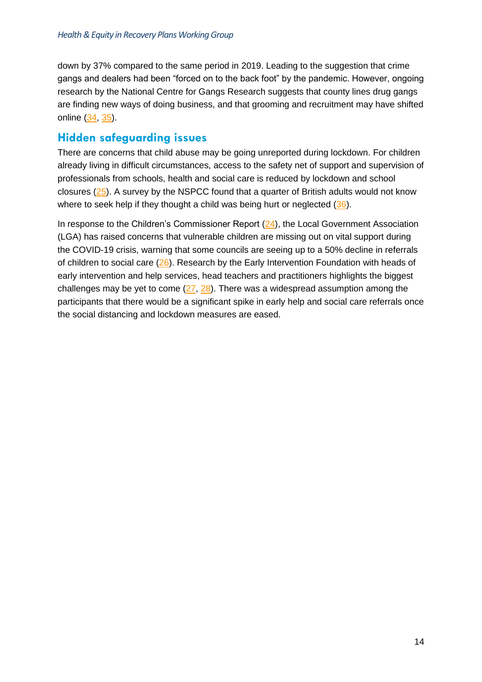down by 37% compared to the same period in 2019. Leading to the suggestion that crime gangs and dealers had been "forced on to the back foot" by the pandemic. However, ongoing research by the National Centre for Gangs Research suggests that county lines drug gangs are finding new ways of doing business, and that grooming and recruitment may have shifted online [\(34,](#page-33-11) [35\)](#page-33-12).

#### **Hidden safeguarding issues**

There are concerns that child abuse may be going unreported during lockdown. For children already living in difficult circumstances, access to the safety net of support and supervision of professionals from schools, health and social care is reduced by lockdown and school closures [\(25\)](#page-33-13). A survey by the NSPCC found that a quarter of British adults would not know where to seek help if they thought a child was being hurt or neglected [\(36\)](#page-33-14).

In response to the Children's Commissioner Report  $(24)$ , the Local Government Association (LGA) has raised concerns that vulnerable children are missing out on vital support during the COVID-19 crisis, warning that some councils are seeing up to a 50% decline in referrals of children to social care [\(26\)](#page-33-15). Research by the Early Intervention Foundation with heads of early intervention and help services, head teachers and practitioners highlights the biggest challenges may be yet to come  $(27, 28)$  $(27, 28)$ . There was a widespread assumption among the participants that there would be a significant spike in early help and social care referrals once the social distancing and lockdown measures are eased.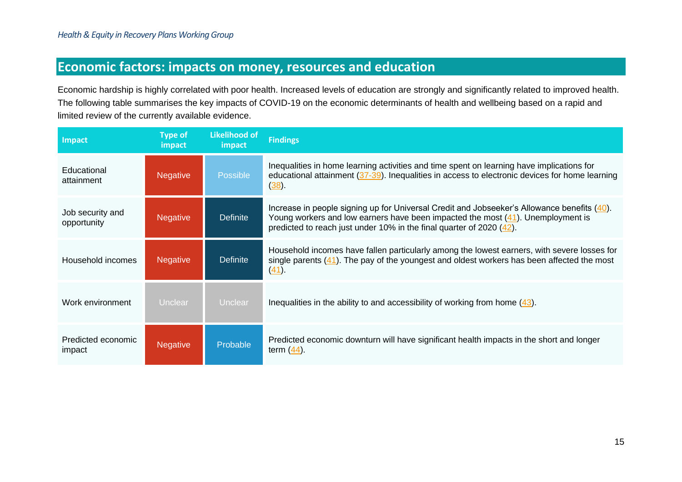## **Economic factors: impacts on money, resources and education**

Economic hardship is highly correlated with poor health. Increased levels of education are strongly and significantly related to improved health. The following table summarises the key impacts of COVID-19 on the economic determinants of health and wellbeing based on a rapid and limited review of the currently available evidence.

<span id="page-15-0"></span>

| Impact                          | <b>Type of</b><br>impact | <b>Likelihood of</b><br>impact | <b>Findings</b>                                                                                                                                                                                                                                        |
|---------------------------------|--------------------------|--------------------------------|--------------------------------------------------------------------------------------------------------------------------------------------------------------------------------------------------------------------------------------------------------|
| Educational<br>attainment       | <b>Negative</b>          | <b>Possible</b>                | Inequalities in home learning activities and time spent on learning have implications for<br>educational attainment $(37-39)$ . Inequalities in access to electronic devices for home learning<br>$(38)$ .                                             |
| Job security and<br>opportunity | <b>Negative</b>          | <b>Definite</b>                | Increase in people signing up for Universal Credit and Jobseeker's Allowance benefits (40).<br>Young workers and low earners have been impacted the most (41). Unemployment is<br>predicted to reach just under 10% in the final quarter of 2020 (42). |
| Household incomes               | <b>Negative</b>          | <b>Definite</b>                | Household incomes have fallen particularly among the lowest earners, with severe losses for<br>single parents $(41)$ . The pay of the youngest and oldest workers has been affected the most<br>$(41)$ .                                               |
| Work environment                | <b>Unclear</b>           | <b>Unclear</b>                 | Inequalities in the ability to and accessibility of working from home $(43)$ .                                                                                                                                                                         |
| Predicted economic<br>impact    | <b>Negative</b>          | Probable                       | Predicted economic downturn will have significant health impacts in the short and longer<br>term $(44)$ .                                                                                                                                              |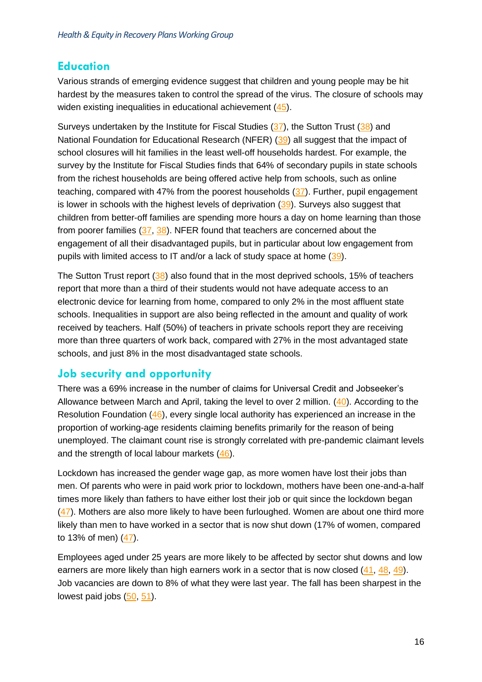#### **Education**

Various strands of emerging evidence suggest that children and young people may be hit hardest by the measures taken to control the spread of the virus. The closure of schools may widen existing inequalities in educational achievement [\(45\)](#page-33-23).

Surveys undertaken by the Institute for Fiscal Studies [\(37\)](#page-33-24), the Sutton Trust [\(38\)](#page-33-25) and National Foundation for Educational Research (NFER) [\(39\)](#page-33-26) all suggest that the impact of school closures will hit families in the least well-off households hardest. For example, the survey by the Institute for Fiscal Studies finds that 64% of secondary pupils in state schools from the richest households are being offered active help from schools, such as online teaching, compared with 47% from the poorest households [\(37\)](#page-33-24). Further, pupil engagement is lower in schools with the highest levels of deprivation  $(39)$ . Surveys also suggest that children from better-off families are spending more hours a day on home learning than those from poorer families [\(37,](#page-33-24) [38\)](#page-33-25). NFER found that teachers are concerned about the engagement of all their disadvantaged pupils, but in particular about low engagement from pupils with limited access to IT and/or a lack of study space at home [\(39\)](#page-33-26).

The Sutton Trust report [\(38\)](#page-33-25) also found that in the most deprived schools, 15% of teachers report that more than a third of their students would not have adequate access to an electronic device for learning from home, compared to only 2% in the most affluent state schools. Inequalities in support are also being reflected in the amount and quality of work received by teachers. Half (50%) of teachers in private schools report they are receiving more than three quarters of work back, compared with 27% in the most advantaged state schools, and just 8% in the most disadvantaged state schools.

#### **Job security and opportunity**

There was a 69% increase in the number of claims for Universal Credit and Jobseeker's Allowance between March and April, taking the level to over 2 million. [\(40\)](#page-33-27). According to the Resolution Foundation [\(46\)](#page-34-0), every single local authority has experienced an increase in the proportion of working-age residents claiming benefits primarily for the reason of being unemployed. The claimant count rise is strongly correlated with pre-pandemic claimant levels and the strength of local labour markets [\(46\)](#page-34-0).

Lockdown has increased the gender wage gap, as more women have lost their jobs than men. Of parents who were in paid work prior to lockdown, mothers have been one-and-a-half times more likely than fathers to have either lost their job or quit since the lockdown began [\(47\)](#page-34-1). Mothers are also more likely to have been furloughed. Women are about one third more likely than men to have worked in a sector that is now shut down (17% of women, compared to 13% of men) [\(47\)](#page-34-1).

Employees aged under 25 years are more likely to be affected by sector shut downs and low earners are more likely than high earners work in a sector that is now closed [\(41,](#page-33-28) [48,](#page-34-2) [49\)](#page-34-3). Job vacancies are down to 8% of what they were last year. The fall has been sharpest in the lowest paid jobs  $(50, 51)$  $(50, 51)$ .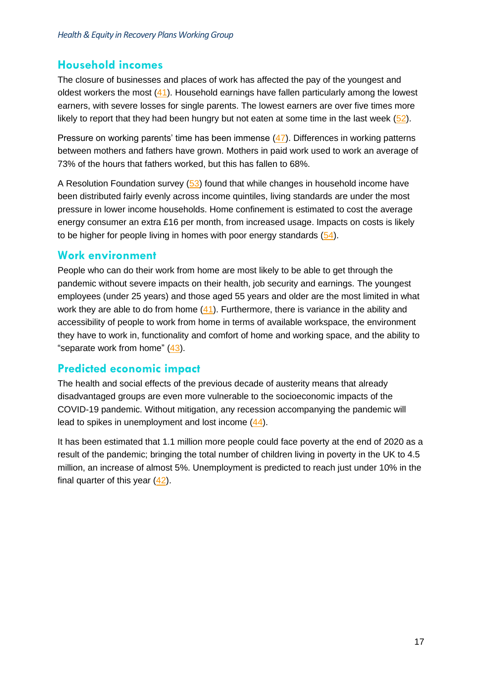#### **Household incomes**

The closure of businesses and places of work has affected the pay of the youngest and oldest workers the most [\(41\)](#page-33-28). Household earnings have fallen particularly among the lowest earners, with severe losses for single parents. The lowest earners are over five times more likely to report that they had been hungry but not eaten at some time in the last week  $(52)$ .

Pressure on working parents' time has been immense [\(47\)](#page-34-1). Differences in working patterns between mothers and fathers have grown. Mothers in paid work used to work an average of 73% of the hours that fathers worked, but this has fallen to 68%.

A Resolution Foundation survey [\(53\)](#page-34-7) found that while changes in household income have been distributed fairly evenly across income quintiles, living standards are under the most pressure in lower income households. Home confinement is estimated to cost the average energy consumer an extra £16 per month, from increased usage. Impacts on costs is likely to be higher for people living in homes with poor energy standards [\(54\)](#page-34-8).

#### **Work environment**

People who can do their work from home are most likely to be able to get through the pandemic without severe impacts on their health, job security and earnings. The youngest employees (under 25 years) and those aged 55 years and older are the most limited in what work they are able to do from home [\(41\)](#page-33-28). Furthermore, there is variance in the ability and accessibility of people to work from home in terms of available workspace, the environment they have to work in, functionality and comfort of home and working space, and the ability to "separate work from home" [\(43\)](#page-33-29).

#### **Predicted economic impact**

The health and social effects of the previous decade of austerity means that already disadvantaged groups are even more vulnerable to the socioeconomic impacts of the COVID-19 pandemic. Without mitigation, any recession accompanying the pandemic will lead to spikes in unemployment and lost income [\(44\)](#page-33-30).

It has been estimated that 1.1 million more people could face poverty at the end of 2020 as a result of the pandemic; bringing the total number of children living in poverty in the UK to 4.5 million, an increase of almost 5%. Unemployment is predicted to reach just under 10% in the final quarter of this year  $(42)$ .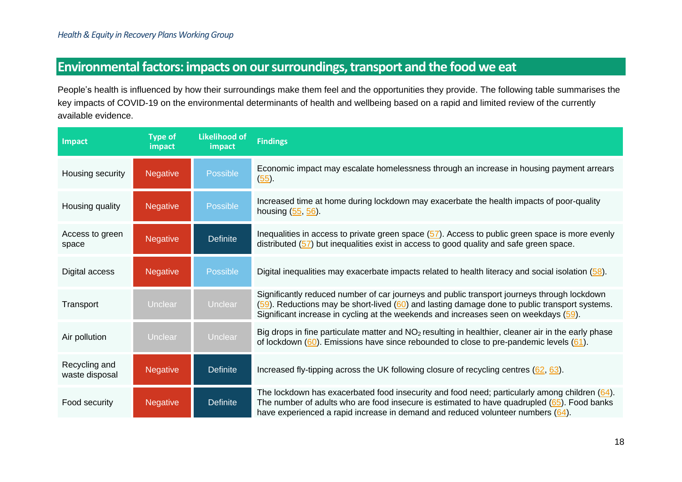## **Environmental factors: impacts on our surroundings, transport and the food we eat**

People's health is influenced by how their surroundings make them feel and the opportunities they provide. The following table summarises the key impacts of COVID-19 on the environmental determinants of health and wellbeing based on a rapid and limited review of the currently available evidence.

<span id="page-18-0"></span>

| <b>Impact</b>                   | <b>Type of</b><br>impact | <b>Likelihood of</b><br>impact | <b>Findings</b>                                                                                                                                                                                                                                                                          |
|---------------------------------|--------------------------|--------------------------------|------------------------------------------------------------------------------------------------------------------------------------------------------------------------------------------------------------------------------------------------------------------------------------------|
| Housing security                | <b>Negative</b>          | Possible                       | Economic impact may escalate homelessness through an increase in housing payment arrears<br>$(55)$ .                                                                                                                                                                                     |
| Housing quality                 | <b>Negative</b>          | <b>Possible</b>                | Increased time at home during lockdown may exacerbate the health impacts of poor-quality<br>housing $(55, 56)$ .                                                                                                                                                                         |
| Access to green<br>space        | <b>Negative</b>          | <b>Definite</b>                | Inequalities in access to private green space $(57)$ . Access to public green space is more evenly<br>distributed (57) but inequalities exist in access to good quality and safe green space.                                                                                            |
| Digital access                  | <b>Negative</b>          | <b>Possible</b>                | Digital inequalities may exacerbate impacts related to health literacy and social isolation (58).                                                                                                                                                                                        |
| Transport                       | Unclear                  | Unclear                        | Significantly reduced number of car journeys and public transport journeys through lockdown<br>(59). Reductions may be short-lived (60) and lasting damage done to public transport systems.<br>Significant increase in cycling at the weekends and increases seen on weekdays (59).     |
| Air pollution                   | <b>Unclear</b>           | Unclear                        | Big drops in fine particulate matter and $NO2$ resulting in healthier, cleaner air in the early phase<br>of lockdown $(60)$ . Emissions have since rebounded to close to pre-pandemic levels $(61)$ .                                                                                    |
| Recycling and<br>waste disposal | <b>Negative</b>          | <b>Definite</b>                | Increased fly-tipping across the UK following closure of recycling centres $(62, 63)$ .                                                                                                                                                                                                  |
| Food security                   | <b>Negative</b>          | <b>Definite</b>                | The lockdown has exacerbated food insecurity and food need; particularly among children $(64)$ .<br>The number of adults who are food insecure is estimated to have quadrupled $(65)$ . Food banks<br>have experienced a rapid increase in demand and reduced volunteer numbers $(64)$ . |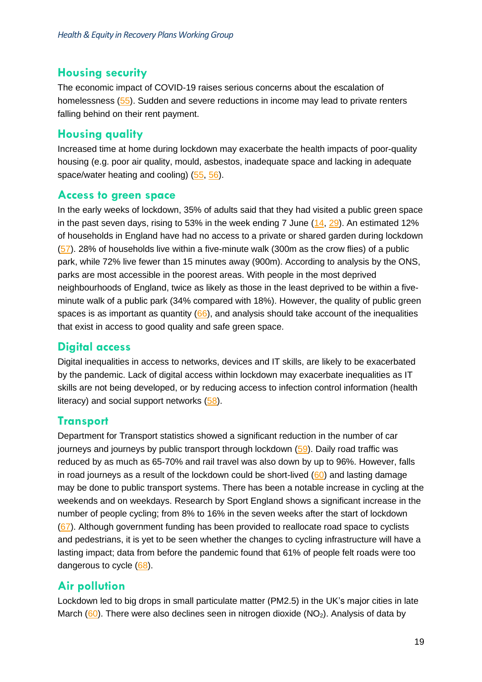#### **Housing security**

The economic impact of COVID-19 raises serious concerns about the escalation of homelessness [\(55\)](#page-34-19). Sudden and severe reductions in income may lead to private renters falling behind on their rent payment.

#### **Housing quality**

Increased time at home during lockdown may exacerbate the health impacts of poor-quality housing (e.g. poor air quality, mould, asbestos, inadequate space and lacking in adequate space/water heating and cooling) [\(55,](#page-34-19) [56\)](#page-34-20).

#### **Access to green space**

In the early weeks of lockdown, 35% of adults said that they had visited a public green space in the past seven days, rising to 53% in the week ending  $7$  June  $(14, 29)$  $(14, 29)$ . An estimated 12% of households in England have had no access to a private or shared garden during lockdown [\(57\)](#page-34-21). 28% of households live within a five-minute walk (300m as the crow flies) of a public park, while 72% live fewer than 15 minutes away (900m). According to analysis by the ONS, parks are most accessible in the poorest areas. With people in the most deprived neighbourhoods of England, twice as likely as those in the least deprived to be within a fiveminute walk of a public park (34% compared with 18%). However, the quality of public green spaces is as important as quantity  $(66)$ , and analysis should take account of the inequalities that exist in access to good quality and safe green space.

#### **Digital access**

Digital inequalities in access to networks, devices and IT skills, are likely to be exacerbated by the pandemic. Lack of digital access within lockdown may exacerbate inequalities as IT skills are not being developed, or by reducing access to infection control information (health literacy) and social support networks  $(58)$ .

#### **Transport**

Department for Transport statistics showed a significant reduction in the number of car journeys and journeys by public transport through lockdown  $(59)$ . Daily road traffic was reduced by as much as 65-70% and rail travel was also down by up to 96%. However, falls in road journeys as a result of the lockdown could be short-lived  $(60)$  and lasting damage may be done to public transport systems. There has been a notable increase in cycling at the weekends and on weekdays. Research by Sport England shows a significant increase in the number of people cycling; from 8% to 16% in the seven weeks after the start of lockdown [\(67\)](#page-34-26). Although government funding has been provided to reallocate road space to cyclists and pedestrians, it is yet to be seen whether the changes to cycling infrastructure will have a lasting impact; data from before the pandemic found that 61% of people felt roads were too dangerous to cycle [\(68\)](#page-34-27).

#### **Air pollution**

Lockdown led to big drops in small particulate matter (PM2.5) in the UK's major cities in late March [\(60\)](#page-34-25). There were also declines seen in nitrogen dioxide ( $NO<sub>2</sub>$ ). Analysis of data by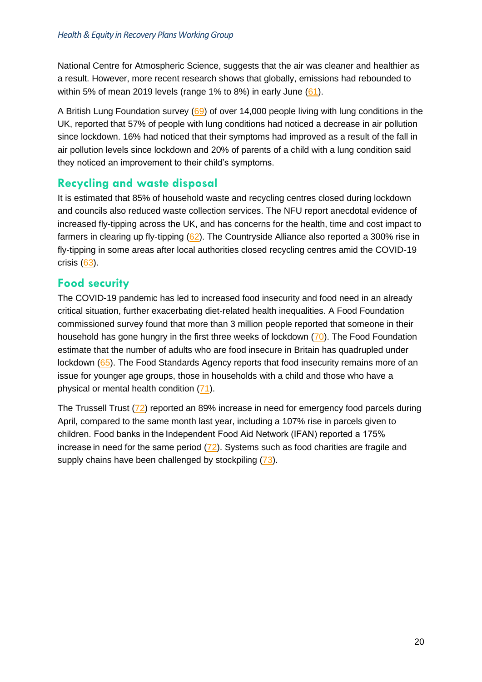National Centre for Atmospheric Science, suggests that the air was cleaner and healthier as a result. However, more recent research shows that globally, emissions had rebounded to within 5% of mean 2019 levels (range 1% to 8%) in early June [\(61\)](#page-34-28).

A British Lung Foundation survey [\(69\)](#page-34-29) of over 14,000 people living with lung conditions in the UK, reported that 57% of people with lung conditions had noticed a decrease in air pollution since lockdown. 16% had noticed that their symptoms had improved as a result of the fall in air pollution levels since lockdown and 20% of parents of a child with a lung condition said they noticed an improvement to their child's symptoms.

#### **Recycling and waste disposal**

It is estimated that 85% of household waste and recycling centres closed during lockdown and councils also reduced waste collection services. The NFU report anecdotal evidence of increased fly-tipping across the UK, and has concerns for the health, time and cost impact to farmers in clearing up fly-tipping [\(62\)](#page-34-30). The Countryside Alliance also reported a 300% rise in fly-tipping in some areas after local authorities closed recycling centres amid the COVID-19 crisis [\(63\)](#page-34-31).

#### **Food security**

The COVID-19 pandemic has led to increased food insecurity and food need in an already critical situation, further exacerbating diet-related health inequalities. A Food Foundation commissioned survey found that more than 3 million people reported that someone in their household has gone hungry in the first three weeks of lockdown [\(70\)](#page-35-0). The Food Foundation estimate that the number of adults who are food insecure in Britain has quadrupled under lockdown [\(65\)](#page-34-32). The Food Standards Agency reports that food insecurity remains more of an issue for younger age groups, those in households with a child and those who have a physical or mental health condition [\(71\)](#page-35-1).

The Trussell Trust [\(72\)](#page-35-2) reported an 89% increase in need for emergency food parcels during April, compared to the same month last year, including a 107% rise in parcels given to children. Food banks in the Independent Food Aid Network (IFAN) reported a 175% increase in need for the same period [\(72\)](#page-35-2). Systems such as food charities are fragile and supply chains have been challenged by stockpiling [\(73\)](#page-35-3).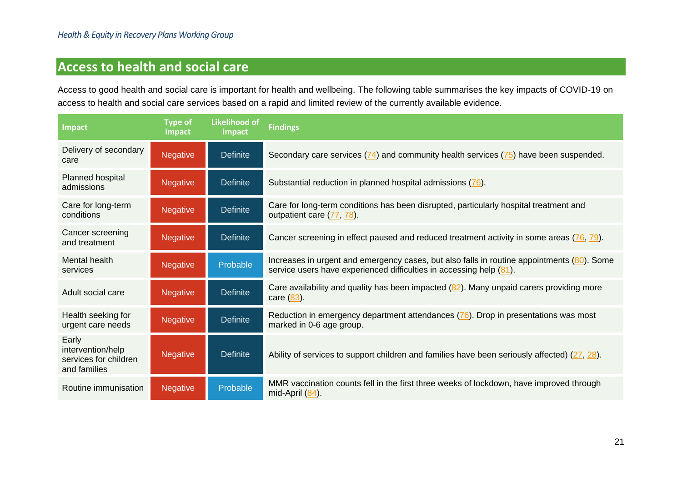### **Access to health and social care**

Access to good health and social care is important for health and wellbeing. The following table summarises the key impacts of COVID-19 on access to health and social care services based on a rapid and limited review of the currently available evidence.

<span id="page-21-0"></span>

| <b>Impact</b>                                                       | <b>Type of</b><br>impact | <b>Likelihood of</b><br>impact | <b>Findings</b>                                                                                                                                                   |
|---------------------------------------------------------------------|--------------------------|--------------------------------|-------------------------------------------------------------------------------------------------------------------------------------------------------------------|
| Delivery of secondary<br>care                                       | <b>Negative</b>          | <b>Definite</b>                | Secondary care services $(74)$ and community health services $(75)$ have been suspended.                                                                          |
| Planned hospital<br>admissions                                      | Negative                 | <b>Definite</b>                | Substantial reduction in planned hospital admissions (76).                                                                                                        |
| Care for long-term<br>conditions                                    | <b>Negative</b>          | <b>Definite</b>                | Care for long-term conditions has been disrupted, particularly hospital treatment and<br>outpatient care (77, 78).                                                |
| Cancer screening<br>and treatment                                   | <b>Negative</b>          | <b>Definite</b>                | Cancer screening in effect paused and reduced treatment activity in some areas (76, 79).                                                                          |
| Mental health<br>services                                           | <b>Negative</b>          | Probable                       | Increases in urgent and emergency cases, but also falls in routine appointments (80). Some<br>service users have experienced difficulties in accessing help (81). |
| Adult social care                                                   | <b>Negative</b>          | <b>Definite</b>                | Care availability and quality has been impacted $(82)$ . Many unpaid carers providing more<br>care (83).                                                          |
| Health seeking for<br>urgent care needs                             | <b>Negative</b>          | <b>Definite</b>                | Reduction in emergency department attendances (76). Drop in presentations was most<br>marked in 0-6 age group.                                                    |
| Early<br>intervention/help<br>services for children<br>and families | <b>Negative</b>          | <b>Definite</b>                | Ability of services to support children and families have been seriously affected) (27, 28).                                                                      |
| Routine immunisation                                                | Negative                 | Probable                       | MMR vaccination counts fell in the first three weeks of lockdown, have improved through<br>mid-April $(84)$ .                                                     |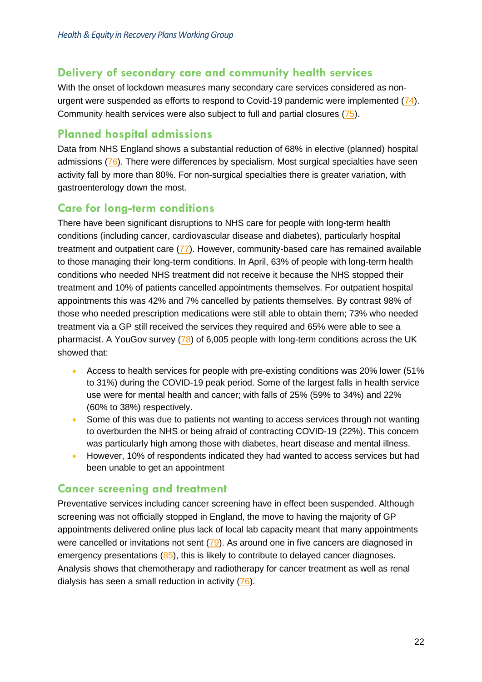#### **Delivery of secondary care and community health services**

With the onset of lockdown measures many secondary care services considered as nonurgent were suspended as efforts to respond to Covid-19 pandemic were implemented  $(74)$ . Community health services were also subject to full and partial closures [\(75\)](#page-35-13).

#### **Planned hospital admissions**

Data from NHS England shows a substantial reduction of 68% in elective (planned) hospital admissions [\(76\)](#page-35-16). There were differences by specialism. Most surgical specialties have seen activity fall by more than 80%. For non-surgical specialties there is greater variation, with gastroenterology down the most.

#### **Care for long-term conditions**

There have been significant disruptions to NHS care for people with long-term health conditions (including cancer, cardiovascular disease and diabetes), particularly hospital treatment and outpatient care  $(77)$ . However, community-based care has remained available to those managing their long-term conditions. In April, 63% of people with long-term health conditions who needed NHS treatment did not receive it because the NHS stopped their treatment and 10% of patients cancelled appointments themselves. For outpatient hospital appointments this was 42% and 7% cancelled by patients themselves. By contrast 98% of those who needed prescription medications were still able to obtain them; 73% who needed treatment via a GP still received the services they required and 65% were able to see a pharmacist. A YouGov survey [\(78\)](#page-35-18) of 6,005 people with long-term conditions across the UK showed that:

- Access to health services for people with pre-existing conditions was 20% lower (51%) to 31%) during the COVID-19 peak period. Some of the largest falls in health service use were for mental health and cancer; with falls of 25% (59% to 34%) and 22% (60% to 38%) respectively.
- Some of this was due to patients not wanting to access services through not wanting to overburden the NHS or being afraid of contracting COVID-19 (22%). This concern was particularly high among those with diabetes, heart disease and mental illness.
- However, 10% of respondents indicated they had wanted to access services but had been unable to get an appointment

#### **Cancer screening and treatment**

Preventative services including cancer screening have in effect been suspended. Although screening was not officially stopped in England, the move to having the majority of GP appointments delivered online plus lack of local lab capacity meant that many appointments were cancelled or invitations not sent [\(79\)](#page-35-19). As around one in five cancers are diagnosed in emergency presentations [\(85\)](#page-35-20), this is likely to contribute to delayed cancer diagnoses. Analysis shows that chemotherapy and radiotherapy for cancer treatment as well as renal dialysis has seen a small reduction in activity [\(76\)](#page-35-16).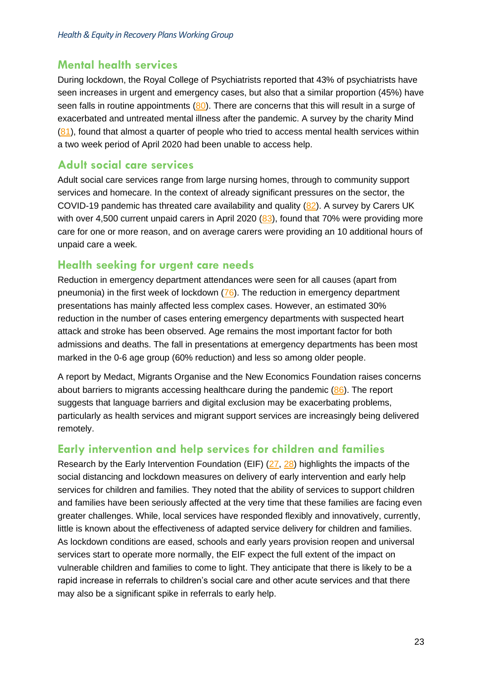#### **Mental health services**

During lockdown, the Royal College of Psychiatrists reported that 43% of psychiatrists have seen increases in urgent and emergency cases, but also that a similar proportion (45%) have seen falls in routine appointments [\(80\)](#page-35-21). There are concerns that this will result in a surge of exacerbated and untreated mental illness after the pandemic. A survey by the charity Mind  $(81)$ , found that almost a quarter of people who tried to access mental health services within a two week period of April 2020 had been unable to access help.

#### **Adult social care services**

Adult social care services range from large nursing homes, through to community support services and homecare. In the context of already significant pressures on the sector, the COVID-19 pandemic has threated care availability and quality [\(82\)](#page-35-23). A survey by Carers UK with over 4,500 current unpaid carers in April 2020 [\(83\)](#page-35-24), found that 70% were providing more care for one or more reason, and on average carers were providing an 10 additional hours of unpaid care a week.

#### **Health seeking for urgent care needs**

Reduction in emergency department attendances were seen for all causes (apart from pneumonia) in the first week of lockdown [\(76\)](#page-35-16). The reduction in emergency department presentations has mainly affected less complex cases. However, an estimated 30% reduction in the number of cases entering emergency departments with suspected heart attack and stroke has been observed. Age remains the most important factor for both admissions and deaths. The fall in presentations at emergency departments has been most marked in the 0-6 age group (60% reduction) and less so among older people.

A report by Medact, Migrants Organise and the New Economics Foundation raises concerns about barriers to migrants accessing healthcare during the pandemic [\(86\)](#page-35-25). The report suggests that language barriers and digital exclusion may be exacerbating problems, particularly as health services and migrant support services are increasingly being delivered remotely.

#### **Early intervention and help services for children and families**

Research by the Early Intervention Foundation (EIF) [\(27,](#page-33-16) [28\)](#page-33-17) highlights the impacts of the social distancing and lockdown measures on delivery of early intervention and early help services for children and families. They noted that the ability of services to support children and families have been seriously affected at the very time that these families are facing even greater challenges. While, local services have responded flexibly and innovatively, currently, little is known about the effectiveness of adapted service delivery for children and families. As lockdown conditions are eased, schools and early years provision reopen and universal services start to operate more normally, the EIF expect the full extent of the impact on vulnerable children and families to come to light. They anticipate that there is likely to be a rapid increase in referrals to children's social care and other acute services and that there may also be a significant spike in referrals to early help.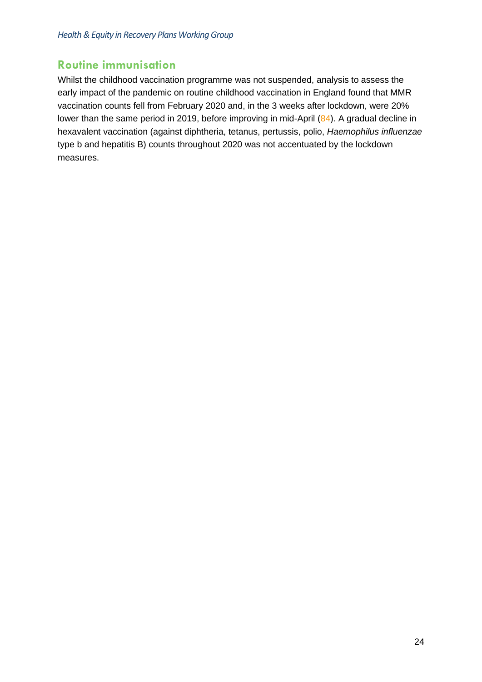#### **Routine immunisation**

Whilst the childhood vaccination programme was not suspended, analysis to assess the early impact of the pandemic on routine childhood vaccination in England found that MMR vaccination counts fell from February 2020 and, in the 3 weeks after lockdown, were 20% lower than the same period in 2019, before improving in mid-April [\(84\)](#page-35-26). A gradual decline in hexavalent vaccination (against diphtheria, tetanus, pertussis, polio, *Haemophilus influenzae* type b and hepatitis B) counts throughout 2020 was not accentuated by the lockdown measures.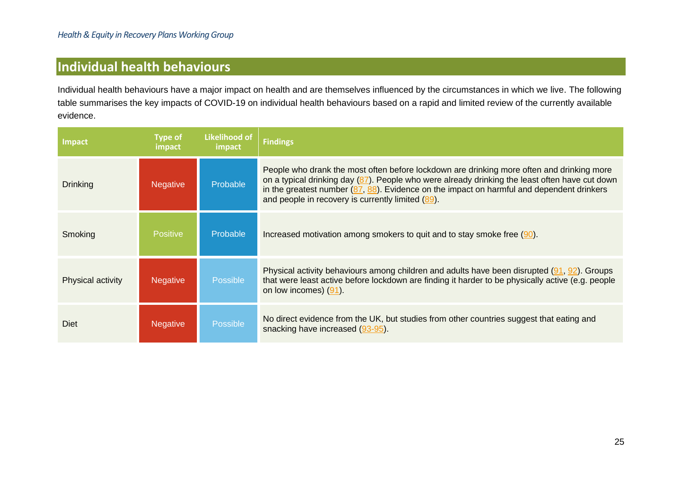### **Individual health behaviours**

Individual health behaviours have a major impact on health and are themselves influenced by the circumstances in which we live. The following table summarises the key impacts of COVID-19 on individual health behaviours based on a rapid and limited review of the currently available evidence.

<span id="page-25-0"></span>

| Impact            | <b>Type of</b><br>impact | Likelihood of<br>impact | <b>Findings</b>                                                                                                                                                                                                                                                                                                                                  |
|-------------------|--------------------------|-------------------------|--------------------------------------------------------------------------------------------------------------------------------------------------------------------------------------------------------------------------------------------------------------------------------------------------------------------------------------------------|
| <b>Drinking</b>   | <b>Negative</b>          | Probable                | People who drank the most often before lockdown are drinking more often and drinking more<br>on a typical drinking day (87). People who were already drinking the least often have cut down<br>in the greatest number $(87, 88)$ . Evidence on the impact on harmful and dependent drinkers<br>and people in recovery is currently limited (89). |
| Smoking           | <b>Positive</b>          | Probable                | Increased motivation among smokers to quit and to stay smoke free $(90)$ .                                                                                                                                                                                                                                                                       |
| Physical activity | <b>Negative</b>          | Possible                | Physical activity behaviours among children and adults have been disrupted (91, 92). Groups<br>that were least active before lockdown are finding it harder to be physically active (e.g. people<br>on low incomes) (91).                                                                                                                        |
| Diet              | <b>Negative</b>          | Possible                | No direct evidence from the UK, but studies from other countries suggest that eating and<br>snacking have increased (93-95).                                                                                                                                                                                                                     |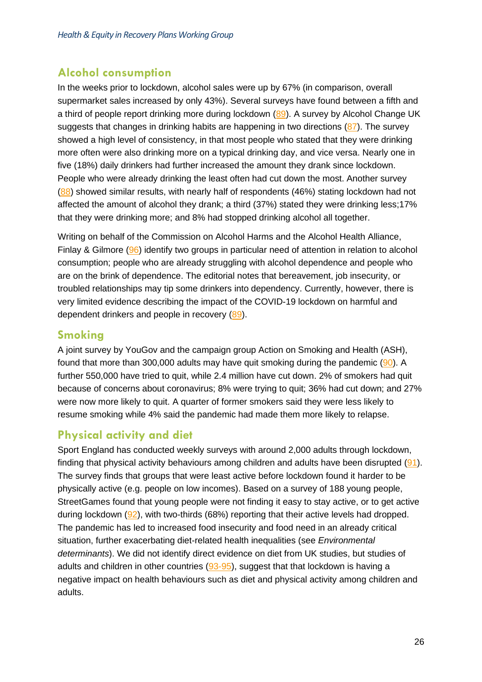#### **Alcohol consumption**

In the weeks prior to lockdown, alcohol sales were up by 67% (in comparison, overall supermarket sales increased by only 43%). Several surveys have found between a fifth and a third of people report drinking more during lockdown [\(89\)](#page-35-34). A survey by Alcohol Change UK suggests that changes in drinking habits are happening in two directions  $(87)$ . The survey showed a high level of consistency, in that most people who stated that they were drinking more often were also drinking more on a typical drinking day, and vice versa. Nearly one in five (18%) daily drinkers had further increased the amount they drank since lockdown. People who were already drinking the least often had cut down the most. Another survey [\(88\)](#page-35-36) showed similar results, with nearly half of respondents (46%) stating lockdown had not affected the amount of alcohol they drank; a third (37%) stated they were drinking less;17% that they were drinking more; and 8% had stopped drinking alcohol all together.

Writing on behalf of the Commission on Alcohol Harms and the Alcohol Health Alliance, Finlay & Gilmore [\(96\)](#page-35-37) identify two groups in particular need of attention in relation to alcohol consumption; people who are already struggling with alcohol dependence and people who are on the brink of dependence. The editorial notes that bereavement, job insecurity, or troubled relationships may tip some drinkers into dependency. Currently, however, there is very limited evidence describing the impact of the COVID-19 lockdown on harmful and dependent drinkers and people in recovery [\(89\)](#page-35-34).

#### **Smoking**

A joint survey by YouGov and the campaign group Action on Smoking and Health (ASH), found that more than 300,000 adults may have quit smoking during the pandemic  $(90)$ . A further 550,000 have tried to quit, while 2.4 million have cut down. 2% of smokers had quit because of concerns about coronavirus; 8% were trying to quit; 36% had cut down; and 27% were now more likely to quit. A quarter of former smokers said they were less likely to resume smoking while 4% said the pandemic had made them more likely to relapse.

#### **Physical activity and diet**

Sport England has conducted weekly surveys with around 2,000 adults through lockdown, finding that physical activity behaviours among children and adults have been disrupted  $(91)$ . The survey finds that groups that were least active before lockdown found it harder to be physically active (e.g. people on low incomes). Based on a survey of 188 young people, StreetGames found that young people were not finding it easy to stay active, or to get active during lockdown [\(92\)](#page-35-40), with two-thirds (68%) reporting that their active levels had dropped. The pandemic has led to increased food insecurity and food need in an already critical situation, further exacerbating diet-related health inequalities (see *Environmental determinants*). We did not identify direct evidence on diet from UK studies, but studies of adults and children in other countries  $(93-95)$ , suggest that that lockdown is having a negative impact on health behaviours such as diet and physical activity among children and adults.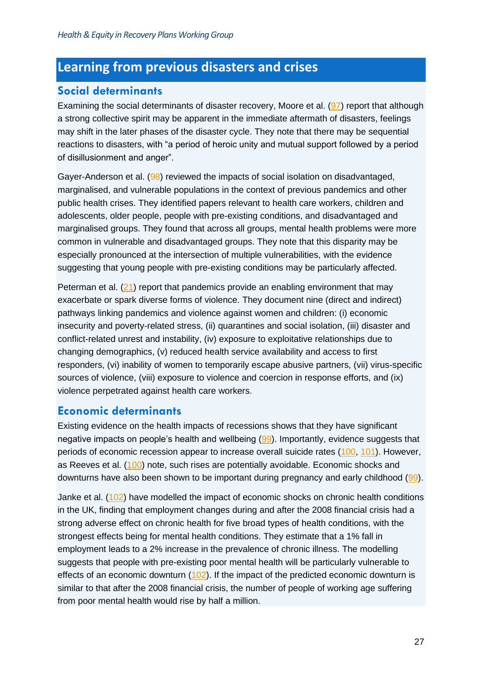### <span id="page-27-0"></span>**Learning from previous disasters and crises**

#### **Social determinants**

Examining the social determinants of disaster recovery, Moore et al. [\(97\)](#page-36-0) report that although a strong collective spirit may be apparent in the immediate aftermath of disasters, feelings may shift in the later phases of the disaster cycle. They note that there may be sequential reactions to disasters, with "a period of heroic unity and mutual support followed by a period of disillusionment and anger".

Gayer-Anderson et al. (98) reviewed the impacts of social isolation on disadvantaged, marginalised, and vulnerable populations in the context of previous pandemics and other public health crises. They identified papers relevant to health care workers, children and adolescents, older people, people with pre-existing conditions, and disadvantaged and marginalised groups. They found that across all groups, mental health problems were more common in vulnerable and disadvantaged groups. They note that this disparity may be especially pronounced at the intersection of multiple vulnerabilities, with the evidence suggesting that young people with pre-existing conditions may be particularly affected.

Peterman et al. [\(21\)](#page-32-28) report that pandemics provide an enabling environment that may exacerbate or spark diverse forms of violence. They document nine (direct and indirect) pathways linking pandemics and violence against women and children: (i) economic insecurity and poverty-related stress, (ii) quarantines and social isolation, (iii) disaster and conflict-related unrest and instability, (iv) exposure to exploitative relationships due to changing demographics, (v) reduced health service availability and access to first responders, (vi) inability of women to temporarily escape abusive partners, (vii) virus-specific sources of violence, (viii) exposure to violence and coercion in response efforts, and (ix) violence perpetrated against health care workers.

#### **Economic determinants**

Existing evidence on the health impacts of recessions shows that they have significant negative impacts on people's health and wellbeing [\(99\)](#page-36-1). Importantly, evidence suggests that periods of economic recession appear to increase overall suicide rates [\(100,](#page-36-2) [101\)](#page-36-3). However, as Reeves et al. [\(100\)](#page-36-2) note, such rises are potentially avoidable. Economic shocks and downturns have also been shown to be important during pregnancy and early childhood [\(99\)](#page-36-1).

Janke et al. [\(102\)](#page-36-4) have modelled the impact of economic shocks on chronic health conditions in the UK, finding that employment changes during and after the 2008 financial crisis had a strong adverse effect on chronic health for five broad types of health conditions, with the strongest effects being for mental health conditions. They estimate that a 1% fall in employment leads to a 2% increase in the prevalence of chronic illness. The modelling suggests that people with pre-existing poor mental health will be particularly vulnerable to effects of an economic downturn  $(102)$ . If the impact of the predicted economic downturn is similar to that after the 2008 financial crisis, the number of people of working age suffering from poor mental health would rise by half a million.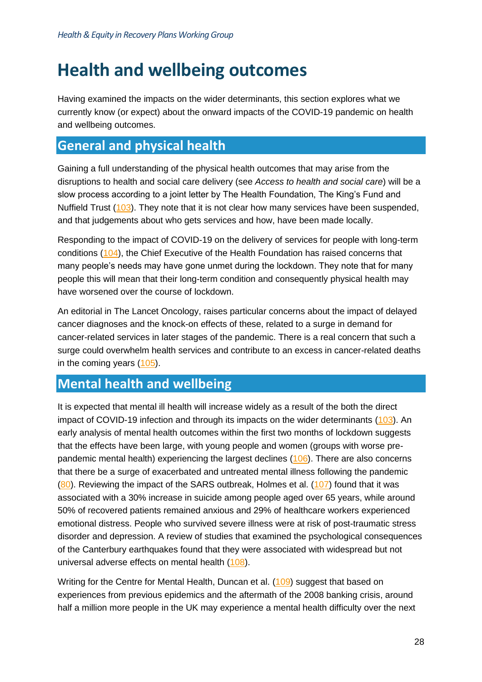# <span id="page-28-0"></span>**Health and wellbeing outcomes**

Having examined the impacts on the wider determinants, this section explores what we currently know (or expect) about the onward impacts of the COVID-19 pandemic on health and wellbeing outcomes.

### <span id="page-28-1"></span>**General and physical health**

Gaining a full understanding of the physical health outcomes that may arise from the disruptions to health and social care delivery (see *Access to health and social care*) will be a slow process according to a joint letter by The Health Foundation, The King's Fund and Nuffield Trust [\(103\)](#page-36-5). They note that it is not clear how many services have been suspended, and that judgements about who gets services and how, have been made locally.

Responding to the impact of COVID-19 on the delivery of services for people with long-term conditions [\(104\)](#page-36-6), the Chief Executive of the Health Foundation has raised concerns that many people's needs may have gone unmet during the lockdown. They note that for many people this will mean that their long-term condition and consequently physical health may have worsened over the course of lockdown.

An editorial in The Lancet Oncology, raises particular concerns about the impact of delayed cancer diagnoses and the knock-on effects of these, related to a surge in demand for cancer-related services in later stages of the pandemic. There is a real concern that such a surge could overwhelm health services and contribute to an excess in cancer-related deaths in the coming years [\(105\)](#page-36-7).

### <span id="page-28-2"></span>**Mental health and wellbeing**

It is expected that mental ill health will increase widely as a result of the both the direct impact of COVID-19 infection and through its impacts on the wider determinants [\(103\)](#page-36-5). An early analysis of mental health outcomes within the first two months of lockdown suggests that the effects have been large, with young people and women (groups with worse prepandemic mental health) experiencing the largest declines [\(106\)](#page-36-8). There are also concerns that there be a surge of exacerbated and untreated mental illness following the pandemic  $(80)$ . Reviewing the impact of the SARS outbreak, Holmes et al. [\(107\)](#page-36-9) found that it was associated with a 30% increase in suicide among people aged over 65 years, while around 50% of recovered patients remained anxious and 29% of healthcare workers experienced emotional distress. People who survived severe illness were at risk of post-traumatic stress disorder and depression. A review of studies that examined the psychological consequences of the Canterbury earthquakes found that they were associated with widespread but not universal adverse effects on mental health [\(108\)](#page-36-10).

Writing for the Centre for Mental Health, Duncan et al. [\(109\)](#page-36-11) suggest that based on experiences from previous epidemics and the aftermath of the 2008 banking crisis, around half a million more people in the UK may experience a mental health difficulty over the next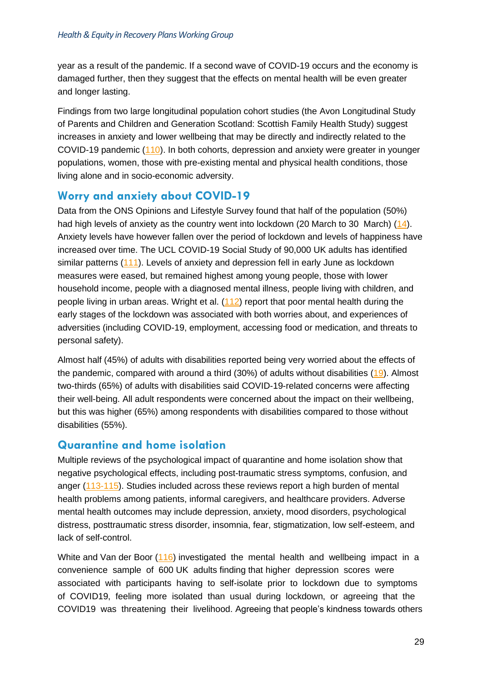year as a result of the pandemic. If a second wave of COVID-19 occurs and the economy is damaged further, then they suggest that the effects on mental health will be even greater and longer lasting.

Findings from two large longitudinal population cohort studies (the Avon Longitudinal Study of Parents and Children and Generation Scotland: Scottish Family Health Study) suggest increases in anxiety and lower wellbeing that may be directly and indirectly related to the COVID-19 pandemic [\(110\)](#page-36-12). In both cohorts, depression and anxiety were greater in younger populations, women, those with pre-existing mental and physical health conditions, those living alone and in socio-economic adversity.

#### **Worry and anxiety about COVID-19**

Data from the ONS Opinions and Lifestyle Survey found that half of the population (50%) had high levels of anxiety as the country went into lockdown (20 March to 30 March) [\(14\)](#page-32-21). Anxiety levels have however fallen over the period of lockdown and levels of happiness have increased over time. The UCL COVID-19 Social Study of 90,000 UK adults has identified similar patterns [\(111\)](#page-36-13). Levels of anxiety and depression fell in early June as lockdown measures were eased, but remained highest among young people, those with lower household income, people with a diagnosed mental illness, people living with children, and people living in urban areas. Wright et al.  $(112)$  report that poor mental health during the early stages of the lockdown was associated with both worries about, and experiences of adversities (including COVID-19, employment, accessing food or medication, and threats to personal safety).

Almost half (45%) of adults with disabilities reported being very worried about the effects of the pandemic, compared with around a third (30%) of adults without disabilities [\(19\)](#page-32-26). Almost two-thirds (65%) of adults with disabilities said COVID-19-related concerns were affecting their well-being. All adult respondents were concerned about the impact on their wellbeing, but this was higher (65%) among respondents with disabilities compared to those without disabilities (55%).

#### **Quarantine and home isolation**

Multiple reviews of the psychological impact of quarantine and home isolation show that negative psychological effects, including post-traumatic stress symptoms, confusion, and anger [\(113-115\)](#page-36-15). Studies included across these reviews report a high burden of mental health problems among patients, informal caregivers, and healthcare providers. Adverse mental health outcomes may include depression, anxiety, mood disorders, psychological distress, posttraumatic stress disorder, insomnia, fear, stigmatization, low self-esteem, and lack of self-control.

White and Van der Boor [\(116\)](#page-36-16) investigated the mental health and wellbeing impact in a convenience sample of 600 UK adults finding that higher depression scores were associated with participants having to self-isolate prior to lockdown due to symptoms of COVID19, feeling more isolated than usual during lockdown, or agreeing that the COVID19 was threatening their livelihood. Agreeing that people's kindness towards others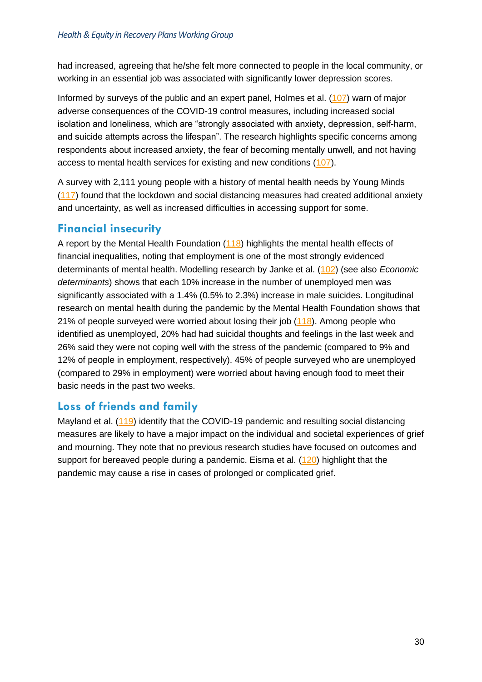had increased, agreeing that he/she felt more connected to people in the local community, or working in an essential job was associated with significantly lower depression scores.

Informed by surveys of the public and an expert panel, Holmes et al. [\(107\)](#page-36-9) warn of major adverse consequences of the COVID-19 control measures, including increased social isolation and loneliness, which are "strongly associated with anxiety, depression, self-harm, and suicide attempts across the lifespan". The research highlights specific concerns among respondents about increased anxiety, the fear of becoming mentally unwell, and not having access to mental health services for existing and new conditions [\(107\)](#page-36-9).

A survey with 2,111 young people with a history of mental health needs by Young Minds [\(117\)](#page-36-17) found that the lockdown and social distancing measures had created additional anxiety and uncertainty, as well as increased difficulties in accessing support for some.

#### **Financial insecurity**

A report by the Mental Health Foundation [\(118\)](#page-37-0) highlights the mental health effects of financial inequalities, noting that employment is one of the most strongly evidenced determinants of mental health. Modelling research by Janke et al. [\(102\)](#page-36-4) (see also *Economic determinants*) shows that each 10% increase in the number of unemployed men was significantly associated with a 1.4% (0.5% to 2.3%) increase in male suicides. Longitudinal research on mental health during the pandemic by the Mental Health Foundation shows that 21% of people surveyed were worried about losing their job [\(118\)](#page-37-0). Among people who identified as unemployed, 20% had had suicidal thoughts and feelings in the last week and 26% said they were not coping well with the stress of the pandemic (compared to 9% and 12% of people in employment, respectively). 45% of people surveyed who are unemployed (compared to 29% in employment) were worried about having enough food to meet their basic needs in the past two weeks.

#### **Loss of friends and family**

Mayland et al. [\(119\)](#page-37-1) identify that the COVID-19 pandemic and resulting social distancing measures are likely to have a major impact on the individual and societal experiences of grief and mourning. They note that no previous research studies have focused on outcomes and support for bereaved people during a pandemic. Eisma et al. [\(120\)](#page-37-2) highlight that the pandemic may cause a rise in cases of prolonged or complicated grief.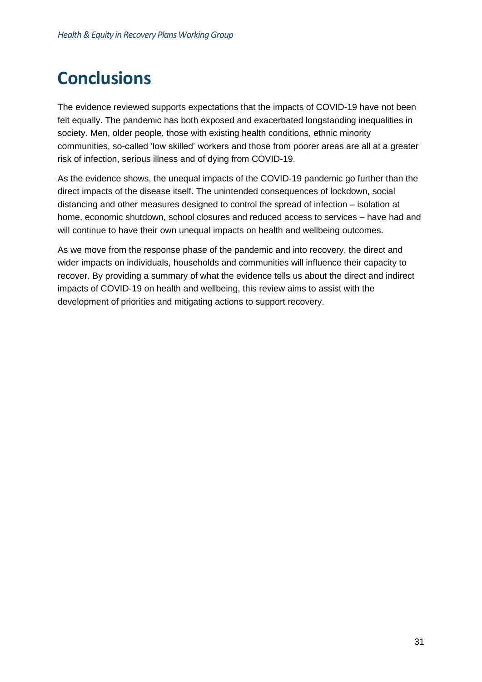# <span id="page-31-0"></span>**Conclusions**

The evidence reviewed supports expectations that the impacts of COVID-19 have not been felt equally. The pandemic has both exposed and exacerbated longstanding inequalities in society. Men, older people, those with existing health conditions, ethnic minority communities, so-called 'low skilled' workers and those from poorer areas are all at a greater risk of infection, serious illness and of dying from COVID-19.

As the evidence shows, the unequal impacts of the COVID-19 pandemic go further than the direct impacts of the disease itself. The unintended consequences of lockdown, social distancing and other measures designed to control the spread of infection – isolation at home, economic shutdown, school closures and reduced access to services – have had and will continue to have their own unequal impacts on health and wellbeing outcomes.

As we move from the response phase of the pandemic and into recovery, the direct and wider impacts on individuals, households and communities will influence their capacity to recover. By providing a summary of what the evidence tells us about the direct and indirect impacts of COVID-19 on health and wellbeing, this review aims to assist with the development of priorities and mitigating actions to support recovery.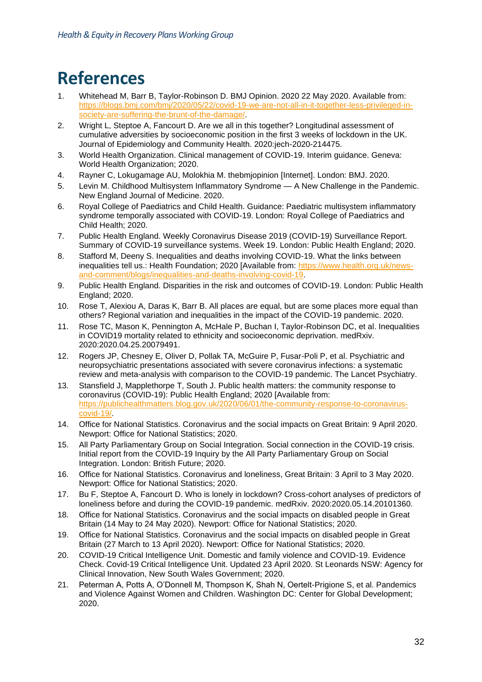# <span id="page-32-0"></span>**References**

- <span id="page-32-1"></span>1. Whitehead M, Barr B, Taylor-Robinson D. BMJ Opinion. 2020 22 May 2020. Available from: [https://blogs.bmj.com/bmj/2020/05/22/covid-19-we-are-not-all-in-it-together-less-privileged-in](https://blogs.bmj.com/bmj/2020/05/22/covid-19-we-are-not-all-in-it-together-less-privileged-in-society-are-suffering-the-brunt-of-the-damage/)[society-are-suffering-the-brunt-of-the-damage/.](https://blogs.bmj.com/bmj/2020/05/22/covid-19-we-are-not-all-in-it-together-less-privileged-in-society-are-suffering-the-brunt-of-the-damage/)
- <span id="page-32-2"></span>2. Wright L, Steptoe A, Fancourt D. Are we all in this together? Longitudinal assessment of cumulative adversities by socioeconomic position in the first 3 weeks of lockdown in the UK. Journal of Epidemiology and Community Health. 2020:jech-2020-214475.
- <span id="page-32-3"></span>3. World Health Organization. Clinical management of COVID-19. Interim guidance. Geneva: World Health Organization; 2020.
- <span id="page-32-4"></span>4. Rayner C, Lokugamage AU, Molokhia M. thebmjopinion [Internet]. London: BMJ. 2020.
- <span id="page-32-5"></span>5. Levin M. Childhood Multisystem Inflammatory Syndrome — A New Challenge in the Pandemic. New England Journal of Medicine. 2020.
- <span id="page-32-6"></span>6. Royal College of Paediatrics and Child Health. Guidance: Paediatric multisystem inflammatory syndrome temporally associated with COVID-19. London: Royal College of Paediatrics and Child Health; 2020.
- <span id="page-32-14"></span><span id="page-32-13"></span><span id="page-32-7"></span>7. Public Health England. Weekly Coronavirus Disease 2019 (COVID-19) Surveillance Report. Summary of COVID-19 surveillance systems. Week 19. London: Public Health England; 2020.
- <span id="page-32-8"></span>8. Stafford M, Deeny S. Inequalities and deaths involving COVID-19. What the links between inequalities tell us.: Health Foundation; 2020 [Available from: [https://www.health.org.uk/news](https://www.health.org.uk/news-and-comment/blogs/inequalities-and-deaths-involving-covid-19)[and-comment/blogs/inequalities-and-deaths-involving-covid-19.](https://www.health.org.uk/news-and-comment/blogs/inequalities-and-deaths-involving-covid-19)
- <span id="page-32-16"></span><span id="page-32-15"></span><span id="page-32-9"></span>9. Public Health England. Disparities in the risk and outcomes of COVID-19. London: Public Health England; 2020.
- <span id="page-32-17"></span><span id="page-32-10"></span>10. Rose T, Alexiou A, Daras K, Barr B. All places are equal, but are some places more equal than others? Regional variation and inequalities in the impact of the COVID-19 pandemic. 2020.
- <span id="page-32-18"></span><span id="page-32-11"></span>11. Rose TC, Mason K, Pennington A, McHale P, Buchan I, Taylor-Robinson DC, et al. Inequalities in COVID19 mortality related to ethnicity and socioeconomic deprivation. medRxiv. 2020:2020.04.25.20079491.
- <span id="page-32-12"></span>12. Rogers JP, Chesney E, Oliver D, Pollak TA, McGuire P, Fusar-Poli P, et al. Psychiatric and neuropsychiatric presentations associated with severe coronavirus infections: a systematic review and meta-analysis with comparison to the COVID-19 pandemic. The Lancet Psychiatry.
- <span id="page-32-20"></span><span id="page-32-19"></span>13. Stansfield J, Mapplethorpe T, South J. Public health matters: the community response to coronavirus (COVID-19): Public Health England; 2020 [Available from: [https://publichealthmatters.blog.gov.uk/2020/06/01/the-community-response-to-coronavirus](https://publichealthmatters.blog.gov.uk/2020/06/01/the-community-response-to-coronavirus-covid-19/)[covid-19/.](https://publichealthmatters.blog.gov.uk/2020/06/01/the-community-response-to-coronavirus-covid-19/)
- <span id="page-32-21"></span>14. Office for National Statistics. Coronavirus and the social impacts on Great Britain: 9 April 2020. Newport: Office for National Statistics; 2020.
- <span id="page-32-22"></span>15. All Party Parliamentary Group on Social Integration. Social connection in the COVID-19 crisis. Initial report from the COVID-19 Inquiry by the All Party Parliamentary Group on Social Integration. London: British Future; 2020.
- <span id="page-32-23"></span>16. Office for National Statistics. Coronavirus and loneliness, Great Britain: 3 April to 3 May 2020. Newport: Office for National Statistics; 2020.
- <span id="page-32-24"></span>17. Bu F, Steptoe A, Fancourt D. Who is lonely in lockdown? Cross-cohort analyses of predictors of loneliness before and during the COVID-19 pandemic. medRxiv. 2020:2020.05.14.20101360.
- <span id="page-32-25"></span>18. Office for National Statistics. Coronavirus and the social impacts on disabled people in Great Britain (14 May to 24 May 2020). Newport: Office for National Statistics; 2020.
- <span id="page-32-26"></span>19. Office for National Statistics. Coronavirus and the social impacts on disabled people in Great Britain (27 March to 13 April 2020). Newport: Office for National Statistics; 2020.
- <span id="page-32-27"></span>20. COVID-19 Critical Intelligence Unit. Domestic and family violence and COVID-19. Evidence Check. Covid-19 Critical Intelligence Unit. Updated 23 April 2020. St Leonards NSW: Agency for Clinical Innovation, New South Wales Government; 2020.
- <span id="page-32-28"></span>21. Peterman A, Potts A, O'Donnell M, Thompson K, Shah N, Oertelt-Prigione S, et al. Pandemics and Violence Against Women and Children. Washington DC: Center for Global Development; 2020.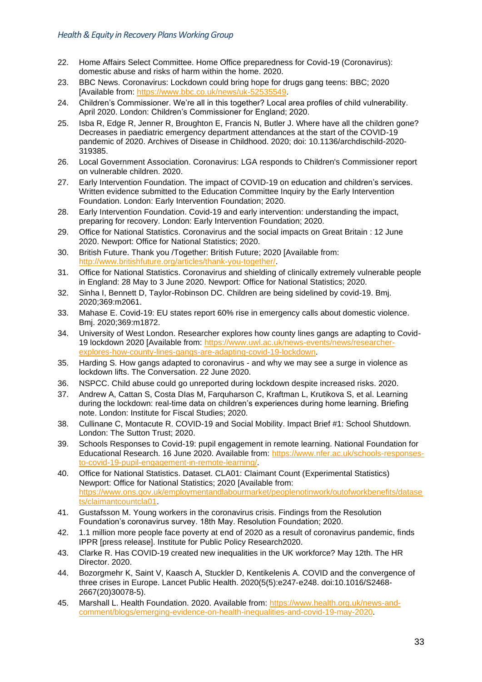- <span id="page-33-33"></span><span id="page-33-32"></span><span id="page-33-9"></span><span id="page-33-3"></span><span id="page-33-2"></span><span id="page-33-1"></span><span id="page-33-0"></span>22. Home Affairs Select Committee. Home Office preparedness for Covid-19 (Coronavirus): domestic abuse and risks of harm within the home. 2020.
- <span id="page-33-10"></span>23. BBC News. Coronavirus: Lockdown could bring hope for drugs gang teens: BBC; 2020 [Available from: [https://www.bbc.co.uk/news/uk-52535549.](https://www.bbc.co.uk/news/uk-52535549)
- 24. Children's Commissioner. We're all in this together? Local area profiles of child vulnerability. April 2020. London: Children's Commissioner for England; 2020.
- <span id="page-33-13"></span>25. Isba R, Edge R, Jenner R, Broughton E, Francis N, Butler J. Where have all the children gone? Decreases in paediatric emergency department attendances at the start of the COVID-19 pandemic of 2020. Archives of Disease in Childhood. 2020; doi: 10.1136/archdischild-2020- 319385.
- <span id="page-33-15"></span>26. Local Government Association. Coronavirus: LGA responds to Children's Commissioner report on vulnerable children. 2020.
- <span id="page-33-18"></span><span id="page-33-16"></span>27. Early Intervention Foundation. The impact of COVID-19 on education and children's services. Written evidence submitted to the Education Committee Inquiry by the Early Intervention Foundation. London: Early Intervention Foundation; 2020.
- <span id="page-33-17"></span>28. Early Intervention Foundation. Covid-19 and early intervention: understanding the impact, preparing for recovery. London: Early Intervention Foundation; 2020.
- <span id="page-33-19"></span><span id="page-33-4"></span>29. Office for National Statistics. Coronavirus and the social impacts on Great Britain : 12 June 2020. Newport: Office for National Statistics; 2020.
- <span id="page-33-5"></span>30. British Future. Thank you /Together: British Future; 2020 [Available from: [http://www.britishfuture.org/articles/thank-you-together/.](http://www.britishfuture.org/articles/thank-you-together/)
- <span id="page-33-20"></span><span id="page-33-6"></span>31. Office for National Statistics. Coronavirus and shielding of clinically extremely vulnerable people in England: 28 May to 3 June 2020. Newport: Office for National Statistics; 2020.
- <span id="page-33-7"></span>32. Sinha I, Bennett D, Taylor-Robinson DC. Children are being sidelined by covid-19. Bmj. 2020;369:m2061.
- <span id="page-33-8"></span>33. Mahase E. Covid-19: EU states report 60% rise in emergency calls about domestic violence. Bmj. 2020;369:m1872.
- <span id="page-33-11"></span>34. University of West London. Researcher explores how county lines gangs are adapting to Covid-19 lockdown 2020 [Available from: [https://www.uwl.ac.uk/news-events/news/researcher](https://www.uwl.ac.uk/news-events/news/researcher-explores-how-county-lines-gangs-are-adapting-covid-19-lockdown)[explores-how-county-lines-gangs-are-adapting-covid-19-lockdown.](https://www.uwl.ac.uk/news-events/news/researcher-explores-how-county-lines-gangs-are-adapting-covid-19-lockdown)
- <span id="page-33-21"></span><span id="page-33-12"></span>35. Harding S. How gangs adapted to coronavirus - and why we may see a surge in violence as lockdown lifts. The Conversation. 22 June 2020.
- <span id="page-33-22"></span><span id="page-33-14"></span>36. NSPCC. Child abuse could go unreported during lockdown despite increased risks. 2020.
- <span id="page-33-24"></span>37. Andrew A, Cattan S, Costa DIas M, Farquharson C, Kraftman L, Krutikova S, et al. Learning during the lockdown: real-time data on children's experiences during home learning. Briefing note. London: Institute for Fiscal Studies; 2020.
- <span id="page-33-25"></span>38. Cullinane C, Montacute R. COVID-19 and Social Mobility. Impact Brief #1: School Shutdown. London: The Sutton Trust; 2020.
- <span id="page-33-26"></span>39. Schools Responses to Covid-19: pupil engagement in remote learning. National Foundation for Educational Research. 16 June 2020. Available from: [https://www.nfer.ac.uk/schools-responses](https://www.nfer.ac.uk/schools-responses-to-covid-19-pupil-engagement-in-remote-learning/)[to-covid-19-pupil-engagement-in-remote-learning/.](https://www.nfer.ac.uk/schools-responses-to-covid-19-pupil-engagement-in-remote-learning/)
- <span id="page-33-27"></span>40. Office for National Statistics. Dataset. CLA01: Claimant Count (Experimental Statistics) Newport: Office for National Statistics; 2020 [Available from: [https://www.ons.gov.uk/employmentandlabourmarket/peoplenotinwork/outofworkbenefits/datase](https://www.ons.gov.uk/employmentandlabourmarket/peoplenotinwork/outofworkbenefits/datasets/claimantcountcla01) [ts/claimantcountcla01.](https://www.ons.gov.uk/employmentandlabourmarket/peoplenotinwork/outofworkbenefits/datasets/claimantcountcla01)
- <span id="page-33-28"></span>41. Gustafsson M. Young workers in the coronavirus crisis. Findings from the Resolution Foundation's coronavirus survey. 18th May. Resolution Foundation; 2020.
- <span id="page-33-31"></span>42. 1.1 million more people face poverty at end of 2020 as a result of coronavirus pandemic, finds IPPR [press release]. Institute for Public Policy Research2020.
- <span id="page-33-29"></span>43. Clarke R. Has COVID-19 created new inequalities in the UK workforce? May 12th. The HR Director. 2020.
- <span id="page-33-30"></span>44. Bozorgmehr K, Saint V, Kaasch A, Stuckler D, Kentikelenis A. COVID and the convergence of three crises in Europe. Lancet Public Health. 2020(5(5):e247‐e248. doi:10.1016/S2468- 2667(20)30078-5).
- <span id="page-33-23"></span>45. Marshall L. Health Foundation. 2020. Available from: [https://www.health.org.uk/news-and](https://www.health.org.uk/news-and-comment/blogs/emerging-evidence-on-health-inequalities-and-covid-19-may-2020)[comment/blogs/emerging-evidence-on-health-inequalities-and-covid-19-may-2020.](https://www.health.org.uk/news-and-comment/blogs/emerging-evidence-on-health-inequalities-and-covid-19-may-2020)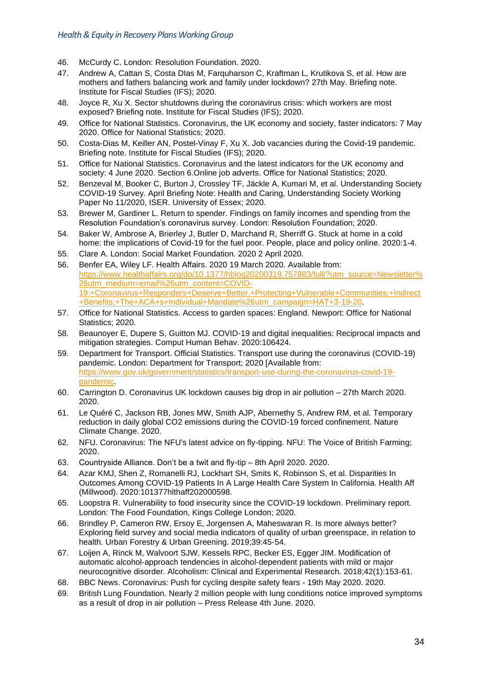- <span id="page-34-10"></span><span id="page-34-9"></span><span id="page-34-0"></span>46. McCurdy C. London: Resolution Foundation. 2020.
- <span id="page-34-1"></span>47. Andrew A, Cattan S, Costa DIas M, Farquharson C, Kraftman L, Krutikova S, et al. How are mothers and fathers balancing work and family under lockdown? 27th May. Briefing note. Institute for Fiscal Studies (IFS); 2020.
- <span id="page-34-2"></span>48. Joyce R, Xu X. Sector shutdowns during the coronavirus crisis: which workers are most exposed? Briefing note. Institute for Fiscal Studies (IFS); 2020.
- <span id="page-34-11"></span><span id="page-34-3"></span>49. Office for National Statistics. Coronavirus, the UK economy and society, faster indicators: 7 May 2020. Office for National Statistics; 2020.
- <span id="page-34-12"></span><span id="page-34-4"></span>50. Costa-Dias M, Keiller AN, Postel-Vinay F, Xu X. Job vacancies during the Covid-19 pandemic. Briefing note. Institute for Fiscal Studies (IFS); 2020.
- <span id="page-34-13"></span><span id="page-34-5"></span>51. Office for National Statistics. Coronavirus and the latest indicators for the UK economy and society: 4 June 2020. Section 6.Online job adverts. Office for National Statistics; 2020.
- <span id="page-34-14"></span><span id="page-34-6"></span>52. Benzeval M, Booker C, Burton J, Crossley TF, Jäckle A, Kumari M, et al. Understanding Society COVID-19 Survey. April Briefing Note: Health and Caring, Understanding Society Working Paper No 11/2020, ISER. University of Essex; 2020.
- <span id="page-34-7"></span>53. Brewer M, Gardiner L. Return to spender. Findings on family incomes and spending from the Resolution Foundation's coronavirus survey. London: Resolution Foundation; 2020.
- <span id="page-34-15"></span><span id="page-34-8"></span>54. Baker W, Ambrose A, Brierley J, Butler D, Marchand R, Sherriff G. Stuck at home in a cold home: the implications of Covid-19 for the fuel poor. People, place and policy online. 2020:1-4.
- <span id="page-34-19"></span>55. Clare A. London: Social Market Foundation. 2020 2 April 2020.
- <span id="page-34-20"></span><span id="page-34-17"></span><span id="page-34-16"></span>56. Benfer EA, Wiley LF. Health Affairs. 2020 19 March 2020. Available from: [https://www.healthaffairs.org/do/10.1377/hblog20200319.757883/full/?utm\\_source=Newsletter%](https://www.healthaffairs.org/do/10.1377/hblog20200319.757883/full/?utm_source=Newsletter%26utm_medium=email%26utm_content=COVID-19:+Coronavirus+Responders+Deserve+Better,+Protecting+Vulnerable+Communities;+Indirect+Benefits;+The+ACA+s+Individual+Mandate%26utm_campaign=HAT+3-19-20) [26utm\\_medium=email%26utm\\_content=COVID-](https://www.healthaffairs.org/do/10.1377/hblog20200319.757883/full/?utm_source=Newsletter%26utm_medium=email%26utm_content=COVID-19:+Coronavirus+Responders+Deserve+Better,+Protecting+Vulnerable+Communities;+Indirect+Benefits;+The+ACA+s+Individual+Mandate%26utm_campaign=HAT+3-19-20)[19:+Coronavirus+Responders+Deserve+Better,+Protecting+Vulnerable+Communities;+Indirect](https://www.healthaffairs.org/do/10.1377/hblog20200319.757883/full/?utm_source=Newsletter%26utm_medium=email%26utm_content=COVID-19:+Coronavirus+Responders+Deserve+Better,+Protecting+Vulnerable+Communities;+Indirect+Benefits;+The+ACA+s+Individual+Mandate%26utm_campaign=HAT+3-19-20) [+Benefits;+The+ACA+s+Individual+Mandate%26utm\\_campaign=HAT+3-19-20.](https://www.healthaffairs.org/do/10.1377/hblog20200319.757883/full/?utm_source=Newsletter%26utm_medium=email%26utm_content=COVID-19:+Coronavirus+Responders+Deserve+Better,+Protecting+Vulnerable+Communities;+Indirect+Benefits;+The+ACA+s+Individual+Mandate%26utm_campaign=HAT+3-19-20)
- <span id="page-34-21"></span><span id="page-34-18"></span>57. Office for National Statistics. Access to garden spaces: England. Newport: Office for National Statistics; 2020.
- <span id="page-34-23"></span>58. Beaunoyer E, Dupere S, Guitton MJ. COVID-19 and digital inequalities: Reciprocal impacts and mitigation strategies. Comput Human Behav. 2020:106424.
- <span id="page-34-24"></span>59. Department for Transport. Official Statistics. Transport use during the coronavirus (COVID-19) pandemic. London: Department for Transport; 2020 [Available from: [https://www.gov.uk/government/statistics/transport-use-during-the-coronavirus-covid-19](https://www.gov.uk/government/statistics/transport-use-during-the-coronavirus-covid-19-pandemic) [pandemic.](https://www.gov.uk/government/statistics/transport-use-during-the-coronavirus-covid-19-pandemic)
- <span id="page-34-25"></span>60. Carrington D. Coronavirus UK lockdown causes big drop in air pollution – 27th March 2020. 2020.
- <span id="page-34-28"></span>61. Le Quéré C, Jackson RB, Jones MW, Smith AJP, Abernethy S, Andrew RM, et al. Temporary reduction in daily global CO2 emissions during the COVID-19 forced confinement. Nature Climate Change. 2020.
- <span id="page-34-30"></span>62. NFU. Coronavirus: The NFU's latest advice on fly-tipping. NFU: The Voice of British Farming; 2020.
- <span id="page-34-31"></span>63. Countryside Alliance. Don't be a twit and fly-tip – 8th April 2020. 2020.
- 64. Azar KMJ, Shen Z, Romanelli RJ, Lockhart SH, Smits K, Robinson S, et al. Disparities In Outcomes Among COVID-19 Patients In A Large Health Care System In California. Health Aff (Millwood). 2020:101377hlthaff202000598.
- <span id="page-34-32"></span>65. Loopstra R. Vulnerability to food insecurity since the COVID-19 lockdown. Preliminary report. London: The Food Foundation, Kings College London; 2020.
- <span id="page-34-22"></span>66. Brindley P, Cameron RW, Ersoy E, Jorgensen A, Maheswaran R. Is more always better? Exploring field survey and social media indicators of quality of urban greenspace, in relation to health. Urban Forestry & Urban Greening. 2019;39:45-54.
- <span id="page-34-26"></span>67. Loijen A, Rinck M, Walvoort SJW, Kessels RPC, Becker ES, Egger JIM. Modification of automatic alcohol‐approach tendencies in alcohol‐dependent patients with mild or major neurocognitive disorder. Alcoholism: Clinical and Experimental Research. 2018;42(1):153-61.
- <span id="page-34-27"></span>68. BBC News. Coronavirus: Push for cycling despite safety fears - 19th May 2020. 2020.
- <span id="page-34-29"></span>69. British Lung Foundation. Nearly 2 million people with lung conditions notice improved symptoms as a result of drop in air pollution – Press Release 4th June. 2020.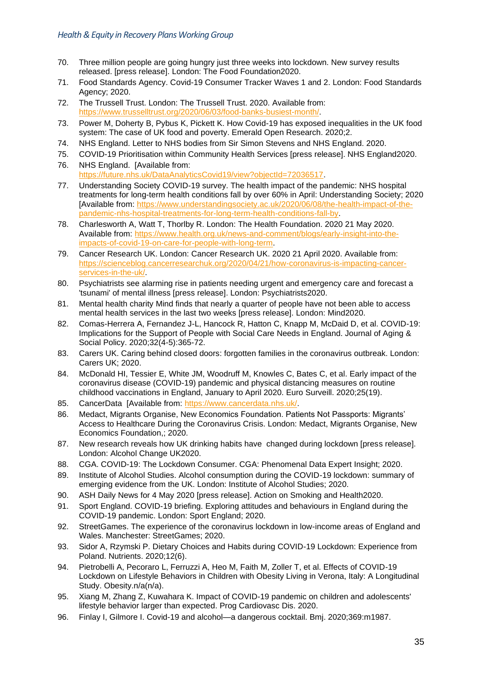- <span id="page-35-9"></span><span id="page-35-8"></span><span id="page-35-7"></span><span id="page-35-6"></span><span id="page-35-5"></span><span id="page-35-4"></span><span id="page-35-0"></span>70. Three million people are going hungry just three weeks into lockdown. New survey results released. [press release]. London: The Food Foundation2020.
- <span id="page-35-10"></span><span id="page-35-1"></span>71. Food Standards Agency. Covid-19 Consumer Tracker Waves 1 and 2. London: Food Standards Agency; 2020.
- <span id="page-35-11"></span><span id="page-35-2"></span>72. The Trussell Trust. London: The Trussell Trust. 2020. Available from: [https://www.trusselltrust.org/2020/06/03/food-banks-busiest-month/.](https://www.trusselltrust.org/2020/06/03/food-banks-busiest-month/)
- <span id="page-35-12"></span><span id="page-35-3"></span>73. Power M, Doherty B, Pybus K, Pickett K. How Covid-19 has exposed inequalities in the UK food system: The case of UK food and poverty. Emerald Open Research. 2020;2.
- <span id="page-35-15"></span>74. NHS England. Letter to NHS bodies from Sir Simon Stevens and NHS England. 2020.
- <span id="page-35-13"></span>75. COVID-19 Prioritisation within Community Health Services [press release]. NHS England2020.
- <span id="page-35-16"></span><span id="page-35-14"></span>76. NHS England. [Available from: [https://future.nhs.uk/DataAnalyticsCovid19/view?objectId=72036517.](https://future.nhs.uk/DataAnalyticsCovid19/view?objectId=72036517)
- <span id="page-35-17"></span>77. Understanding Society COVID-19 survey. The health impact of the pandemic: NHS hospital treatments for long-term health conditions fall by over 60% in April: Understanding Society; 2020 [Available from: [https://www.understandingsociety.ac.uk/2020/06/08/the-health-impact-of-the](https://www.understandingsociety.ac.uk/2020/06/08/the-health-impact-of-the-pandemic-nhs-hospital-treatments-for-long-term-health-conditions-fall-by)[pandemic-nhs-hospital-treatments-for-long-term-health-conditions-fall-by.](https://www.understandingsociety.ac.uk/2020/06/08/the-health-impact-of-the-pandemic-nhs-hospital-treatments-for-long-term-health-conditions-fall-by)
- <span id="page-35-18"></span>78. Charlesworth A, Watt T, Thorlby R. London: The Health Foundation. 2020 21 May 2020. Available from: [https://www.health.org.uk/news-and-comment/blogs/early-insight-into-the](https://www.health.org.uk/news-and-comment/blogs/early-insight-into-the-impacts-of-covid-19-on-care-for-people-with-long-term)[impacts-of-covid-19-on-care-for-people-with-long-term.](https://www.health.org.uk/news-and-comment/blogs/early-insight-into-the-impacts-of-covid-19-on-care-for-people-with-long-term)
- <span id="page-35-28"></span><span id="page-35-27"></span><span id="page-35-19"></span>79. Cancer Research UK. London: Cancer Research UK. 2020 21 April 2020. Available from: [https://scienceblog.cancerresearchuk.org/2020/04/21/how-coronavirus-is-impacting-cancer](https://scienceblog.cancerresearchuk.org/2020/04/21/how-coronavirus-is-impacting-cancer-services-in-the-uk/)[services-in-the-uk/.](https://scienceblog.cancerresearchuk.org/2020/04/21/how-coronavirus-is-impacting-cancer-services-in-the-uk/)
- <span id="page-35-29"></span><span id="page-35-21"></span>80. Psychiatrists see alarming rise in patients needing urgent and emergency care and forecast a 'tsunami' of mental illness [press release]. London: Psychiatrists2020.
- <span id="page-35-31"></span><span id="page-35-30"></span><span id="page-35-22"></span>81. Mental health charity Mind finds that nearly a quarter of people have not been able to access mental health services in the last two weeks [press release]. London: Mind2020.
- <span id="page-35-32"></span><span id="page-35-23"></span>82. Comas-Herrera A, Fernandez J-L, Hancock R, Hatton C, Knapp M, McDaid D, et al. COVID-19: Implications for the Support of People with Social Care Needs in England. Journal of Aging & Social Policy. 2020;32(4-5):365-72.
- <span id="page-35-33"></span><span id="page-35-24"></span>83. Carers UK. Caring behind closed doors: forgotten families in the coronavirus outbreak. London: Carers UK; 2020.
- <span id="page-35-26"></span>84. McDonald HI, Tessier E, White JM, Woodruff M, Knowles C, Bates C, et al. Early impact of the coronavirus disease (COVID-19) pandemic and physical distancing measures on routine childhood vaccinations in England, January to April 2020. Euro Surveill. 2020;25(19).
- <span id="page-35-20"></span>85. CancerData [Available from: [https://www.cancerdata.nhs.uk/.](https://www.cancerdata.nhs.uk/)
- <span id="page-35-25"></span>86. Medact, Migrants Organise, New Economics Foundation. Patients Not Passports: Migrants' Access to Healthcare During the Coronavirus Crisis. London: Medact, Migrants Organise, New Economics Foundation,; 2020.
- <span id="page-35-35"></span>87. New research reveals how UK drinking habits have changed during lockdown [press release]. London: Alcohol Change UK2020.
- <span id="page-35-36"></span>88. CGA. COVID-19: The Lockdown Consumer. CGA: Phenomenal Data Expert Insight; 2020.
- <span id="page-35-34"></span>89. Institute of Alcohol Studies. Alcohol consumption during the COVID-19 lockdown: summary of emerging evidence from the UK. London: Institute of Alcohol Studies; 2020.
- <span id="page-35-38"></span>90. ASH Daily News for 4 May 2020 [press release]. Action on Smoking and Health2020.
- <span id="page-35-39"></span>91. Sport England. COVID-19 briefing. Exploring attitudes and behaviours in England during the COVID-19 pandemic. London: Sport England; 2020.
- <span id="page-35-40"></span>92. StreetGames. The experience of the coronavirus lockdown in low-income areas of England and Wales. Manchester: StreetGames; 2020.
- <span id="page-35-41"></span>93. Sidor A, Rzymski P. Dietary Choices and Habits during COVID-19 Lockdown: Experience from Poland. Nutrients. 2020;12(6).
- 94. Pietrobelli A, Pecoraro L, Ferruzzi A, Heo M, Faith M, Zoller T, et al. Effects of COVID-19 Lockdown on Lifestyle Behaviors in Children with Obesity Living in Verona, Italy: A Longitudinal Study. Obesity.n/a(n/a).
- 95. Xiang M, Zhang Z, Kuwahara K. Impact of COVID-19 pandemic on children and adolescents' lifestyle behavior larger than expected. Prog Cardiovasc Dis. 2020.
- <span id="page-35-37"></span>96. Finlay I, Gilmore I. Covid-19 and alcohol—a dangerous cocktail. Bmj. 2020;369:m1987.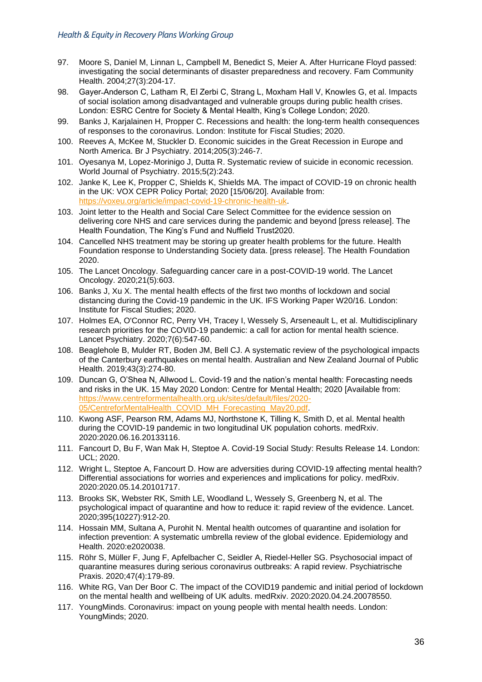- <span id="page-36-0"></span>97. Moore S, Daniel M, Linnan L, Campbell M, Benedict S, Meier A. After Hurricane Floyd passed: investigating the social determinants of disaster preparedness and recovery. Fam Community Health. 2004;27(3):204-17.
- 98. Gayer-Anderson C, Latham R, El Zerbi C, Strang L, Moxham Hall V, Knowles G, et al. Impacts of social isolation among disadvantaged and vulnerable groups during public health crises. London: ESRC Centre for Society & Mental Health, King's College London; 2020.
- <span id="page-36-1"></span>99. Banks J, Karjalainen H, Propper C. Recessions and health: the long-term health consequences of responses to the coronavirus. London: Institute for Fiscal Studies; 2020.
- <span id="page-36-2"></span>100. Reeves A, McKee M, Stuckler D. Economic suicides in the Great Recession in Europe and North America. Br J Psychiatry. 2014;205(3):246-7.
- <span id="page-36-3"></span>101. Oyesanya M, Lopez-Morinigo J, Dutta R. Systematic review of suicide in economic recession. World Journal of Psychiatry. 2015;5(2):243.
- <span id="page-36-4"></span>102. Janke K, Lee K, Propper C, Shields K, Shields MA. The impact of COVID-19 on chronic health in the UK: VOX CEPR Policy Portal; 2020 [15/06/20]. Available from: [https://voxeu.org/article/impact-covid-19-chronic-health-uk.](https://voxeu.org/article/impact-covid-19-chronic-health-uk)
- <span id="page-36-5"></span>103. Joint letter to the Health and Social Care Select Committee for the evidence session on delivering core NHS and care services during the pandemic and beyond [press release]. The Health Foundation, The King's Fund and Nuffield Trust2020.
- <span id="page-36-6"></span>104. Cancelled NHS treatment may be storing up greater health problems for the future. Health Foundation response to Understanding Society data. [press release]. The Health Foundation 2020.
- <span id="page-36-7"></span>105. The Lancet Oncology. Safeguarding cancer care in a post-COVID-19 world. The Lancet Oncology. 2020;21(5):603.
- <span id="page-36-8"></span>106. Banks J, Xu X. The mental health effects of the first two months of lockdown and social distancing during the Covid-19 pandemic in the UK. IFS Working Paper W20/16. London: Institute for Fiscal Studies; 2020.
- <span id="page-36-9"></span>107. Holmes EA, O'Connor RC, Perry VH, Tracey I, Wessely S, Arseneault L, et al. Multidisciplinary research priorities for the COVID-19 pandemic: a call for action for mental health science. Lancet Psychiatry. 2020;7(6):547-60.
- <span id="page-36-10"></span>108. Beaglehole B, Mulder RT, Boden JM, Bell CJ. A systematic review of the psychological impacts of the Canterbury earthquakes on mental health. Australian and New Zealand Journal of Public Health. 2019;43(3):274-80.
- <span id="page-36-11"></span>109. Duncan G, O'Shea N, Allwood L. Covid-19 and the nation's mental health: Forecasting needs and risks in the UK. 15 May 2020 London: Centre for Mental Health; 2020 [Available from: [https://www.centreformentalhealth.org.uk/sites/default/files/2020-](https://www.centreformentalhealth.org.uk/sites/default/files/2020-05/CentreforMentalHealth_COVID_MH_Forecasting_May20.pdf) [05/CentreforMentalHealth\\_COVID\\_MH\\_Forecasting\\_May20.pdf.](https://www.centreformentalhealth.org.uk/sites/default/files/2020-05/CentreforMentalHealth_COVID_MH_Forecasting_May20.pdf)
- <span id="page-36-12"></span>110. Kwong ASF, Pearson RM, Adams MJ, Northstone K, Tilling K, Smith D, et al. Mental health during the COVID-19 pandemic in two longitudinal UK population cohorts. medRxiv. 2020:2020.06.16.20133116.
- <span id="page-36-13"></span>111. Fancourt D, Bu F, Wan Mak H, Steptoe A. Covid-19 Social Study: Results Release 14. London: UCL; 2020.
- <span id="page-36-14"></span>112. Wright L, Steptoe A, Fancourt D. How are adversities during COVID-19 affecting mental health? Differential associations for worries and experiences and implications for policy. medRxiv. 2020:2020.05.14.20101717.
- <span id="page-36-15"></span>113. Brooks SK, Webster RK, Smith LE, Woodland L, Wessely S, Greenberg N, et al. The psychological impact of quarantine and how to reduce it: rapid review of the evidence. Lancet. 2020;395(10227):912-20.
- 114. Hossain MM, Sultana A, Purohit N. Mental health outcomes of quarantine and isolation for infection prevention: A systematic umbrella review of the global evidence. Epidemiology and Health. 2020:e2020038.
- 115. Röhr S, Müller F, Jung F, Apfelbacher C, Seidler A, Riedel-Heller SG. Psychosocial impact of quarantine measures during serious coronavirus outbreaks: A rapid review. Psychiatrische Praxis. 2020;47(4):179-89.
- <span id="page-36-16"></span>116. White RG, Van Der Boor C. The impact of the COVID19 pandemic and initial period of lockdown on the mental health and wellbeing of UK adults. medRxiv. 2020:2020.04.24.20078550.
- <span id="page-36-17"></span>117. YoungMinds. Coronavirus: impact on young people with mental health needs. London: YoungMinds; 2020.